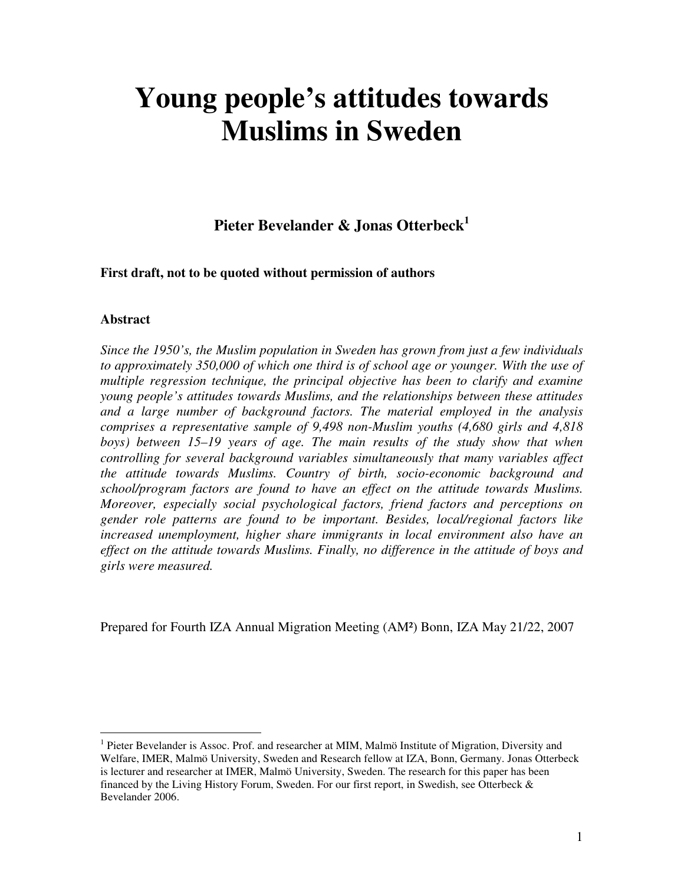# **Young people's attitudes towards Muslims in Sweden**

# **Pieter Bevelander & Jonas Otterbeck<sup>1</sup>**

**First draft, not to be quoted without permission of authors** 

#### **Abstract**

 $\overline{a}$ 

*Since the 1950's, the Muslim population in Sweden has grown from just a few individuals to approximately 350,000 of which one third is of school age or younger. With the use of multiple regression technique, the principal objective has been to clarify and examine young people's attitudes towards Muslims, and the relationships between these attitudes and a large number of background factors. The material employed in the analysis comprises a representative sample of 9,498 non-Muslim youths (4,680 girls and 4,818 boys) between 15–19 years of age. The main results of the study show that when controlling for several background variables simultaneously that many variables affect the attitude towards Muslims. Country of birth, socio-economic background and school/program factors are found to have an effect on the attitude towards Muslims. Moreover, especially social psychological factors, friend factors and perceptions on gender role patterns are found to be important. Besides, local/regional factors like increased unemployment, higher share immigrants in local environment also have an effect on the attitude towards Muslims. Finally, no difference in the attitude of boys and girls were measured.* 

Prepared for Fourth IZA Annual Migration Meeting (AM²) Bonn, IZA May 21/22, 2007

<sup>&</sup>lt;sup>1</sup> Pieter Bevelander is Assoc. Prof. and researcher at MIM, Malmö Institute of Migration, Diversity and Welfare, IMER, Malmö University, Sweden and Research fellow at IZA, Bonn, Germany. Jonas Otterbeck is lecturer and researcher at IMER, Malmö University, Sweden. The research for this paper has been financed by the Living History Forum, Sweden. For our first report, in Swedish, see Otterbeck  $\&$ Bevelander 2006.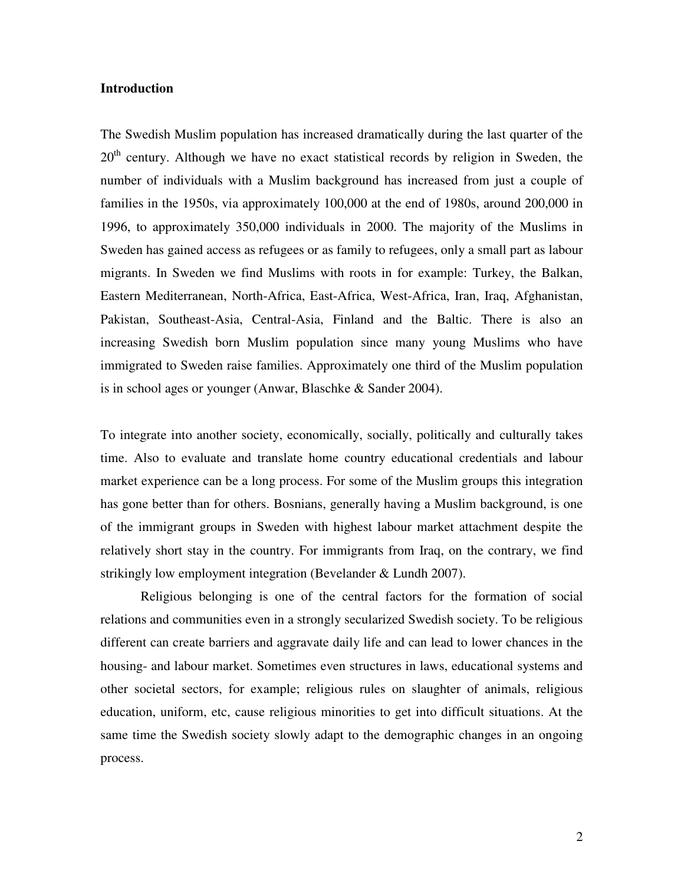#### **Introduction**

The Swedish Muslim population has increased dramatically during the last quarter of the  $20<sup>th</sup>$  century. Although we have no exact statistical records by religion in Sweden, the number of individuals with a Muslim background has increased from just a couple of families in the 1950s, via approximately 100,000 at the end of 1980s, around 200,000 in 1996, to approximately 350,000 individuals in 2000. The majority of the Muslims in Sweden has gained access as refugees or as family to refugees, only a small part as labour migrants. In Sweden we find Muslims with roots in for example: Turkey, the Balkan, Eastern Mediterranean, North-Africa, East-Africa, West-Africa, Iran, Iraq, Afghanistan, Pakistan, Southeast-Asia, Central-Asia, Finland and the Baltic. There is also an increasing Swedish born Muslim population since many young Muslims who have immigrated to Sweden raise families. Approximately one third of the Muslim population is in school ages or younger (Anwar, Blaschke & Sander 2004).

To integrate into another society, economically, socially, politically and culturally takes time. Also to evaluate and translate home country educational credentials and labour market experience can be a long process. For some of the Muslim groups this integration has gone better than for others. Bosnians, generally having a Muslim background, is one of the immigrant groups in Sweden with highest labour market attachment despite the relatively short stay in the country. For immigrants from Iraq, on the contrary, we find strikingly low employment integration (Bevelander & Lundh 2007).

Religious belonging is one of the central factors for the formation of social relations and communities even in a strongly secularized Swedish society. To be religious different can create barriers and aggravate daily life and can lead to lower chances in the housing- and labour market. Sometimes even structures in laws, educational systems and other societal sectors, for example; religious rules on slaughter of animals, religious education, uniform, etc, cause religious minorities to get into difficult situations. At the same time the Swedish society slowly adapt to the demographic changes in an ongoing process.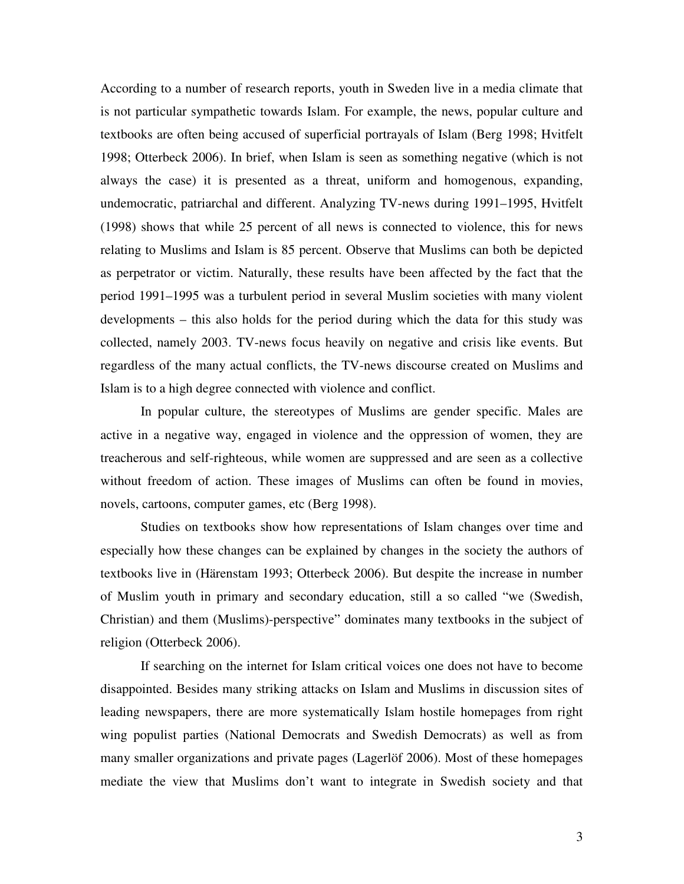According to a number of research reports, youth in Sweden live in a media climate that is not particular sympathetic towards Islam. For example, the news, popular culture and textbooks are often being accused of superficial portrayals of Islam (Berg 1998; Hvitfelt 1998; Otterbeck 2006). In brief, when Islam is seen as something negative (which is not always the case) it is presented as a threat, uniform and homogenous, expanding, undemocratic, patriarchal and different. Analyzing TV-news during 1991–1995, Hvitfelt (1998) shows that while 25 percent of all news is connected to violence, this for news relating to Muslims and Islam is 85 percent. Observe that Muslims can both be depicted as perpetrator or victim. Naturally, these results have been affected by the fact that the period 1991–1995 was a turbulent period in several Muslim societies with many violent developments – this also holds for the period during which the data for this study was collected, namely 2003. TV-news focus heavily on negative and crisis like events. But regardless of the many actual conflicts, the TV-news discourse created on Muslims and Islam is to a high degree connected with violence and conflict.

 In popular culture, the stereotypes of Muslims are gender specific. Males are active in a negative way, engaged in violence and the oppression of women, they are treacherous and self-righteous, while women are suppressed and are seen as a collective without freedom of action. These images of Muslims can often be found in movies, novels, cartoons, computer games, etc (Berg 1998).

 Studies on textbooks show how representations of Islam changes over time and especially how these changes can be explained by changes in the society the authors of textbooks live in (Härenstam 1993; Otterbeck 2006). But despite the increase in number of Muslim youth in primary and secondary education, still a so called "we (Swedish, Christian) and them (Muslims)-perspective" dominates many textbooks in the subject of religion (Otterbeck 2006).

 If searching on the internet for Islam critical voices one does not have to become disappointed. Besides many striking attacks on Islam and Muslims in discussion sites of leading newspapers, there are more systematically Islam hostile homepages from right wing populist parties (National Democrats and Swedish Democrats) as well as from many smaller organizations and private pages (Lagerlöf 2006). Most of these homepages mediate the view that Muslims don't want to integrate in Swedish society and that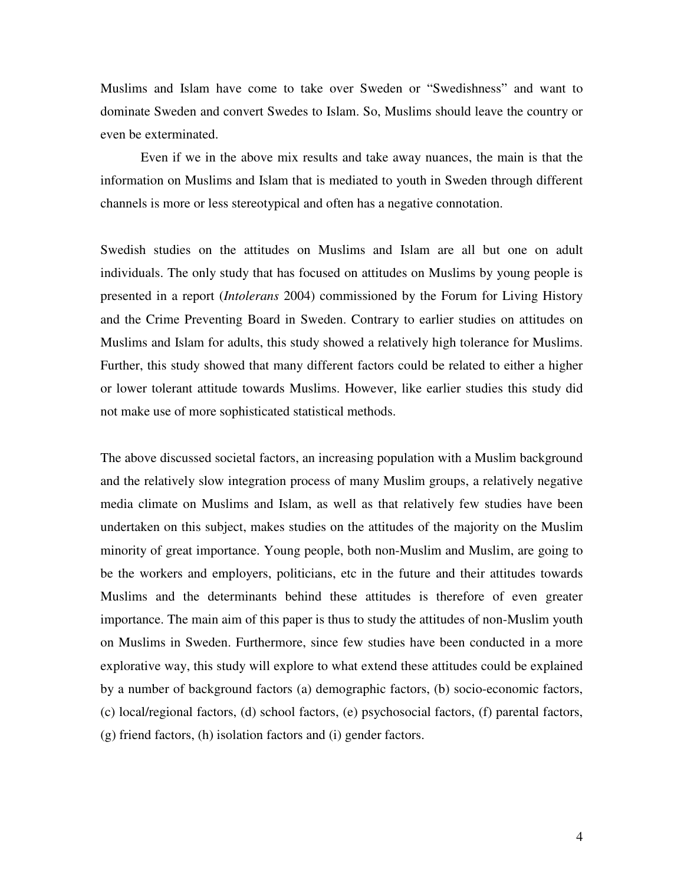Muslims and Islam have come to take over Sweden or "Swedishness" and want to dominate Sweden and convert Swedes to Islam. So, Muslims should leave the country or even be exterminated.

 Even if we in the above mix results and take away nuances, the main is that the information on Muslims and Islam that is mediated to youth in Sweden through different channels is more or less stereotypical and often has a negative connotation.

Swedish studies on the attitudes on Muslims and Islam are all but one on adult individuals. The only study that has focused on attitudes on Muslims by young people is presented in a report (*Intolerans* 2004) commissioned by the Forum for Living History and the Crime Preventing Board in Sweden. Contrary to earlier studies on attitudes on Muslims and Islam for adults, this study showed a relatively high tolerance for Muslims. Further, this study showed that many different factors could be related to either a higher or lower tolerant attitude towards Muslims. However, like earlier studies this study did not make use of more sophisticated statistical methods.

The above discussed societal factors, an increasing population with a Muslim background and the relatively slow integration process of many Muslim groups, a relatively negative media climate on Muslims and Islam, as well as that relatively few studies have been undertaken on this subject, makes studies on the attitudes of the majority on the Muslim minority of great importance. Young people, both non-Muslim and Muslim, are going to be the workers and employers, politicians, etc in the future and their attitudes towards Muslims and the determinants behind these attitudes is therefore of even greater importance. The main aim of this paper is thus to study the attitudes of non-Muslim youth on Muslims in Sweden. Furthermore, since few studies have been conducted in a more explorative way, this study will explore to what extend these attitudes could be explained by a number of background factors (a) demographic factors, (b) socio-economic factors, (c) local/regional factors, (d) school factors, (e) psychosocial factors, (f) parental factors, (g) friend factors, (h) isolation factors and (i) gender factors.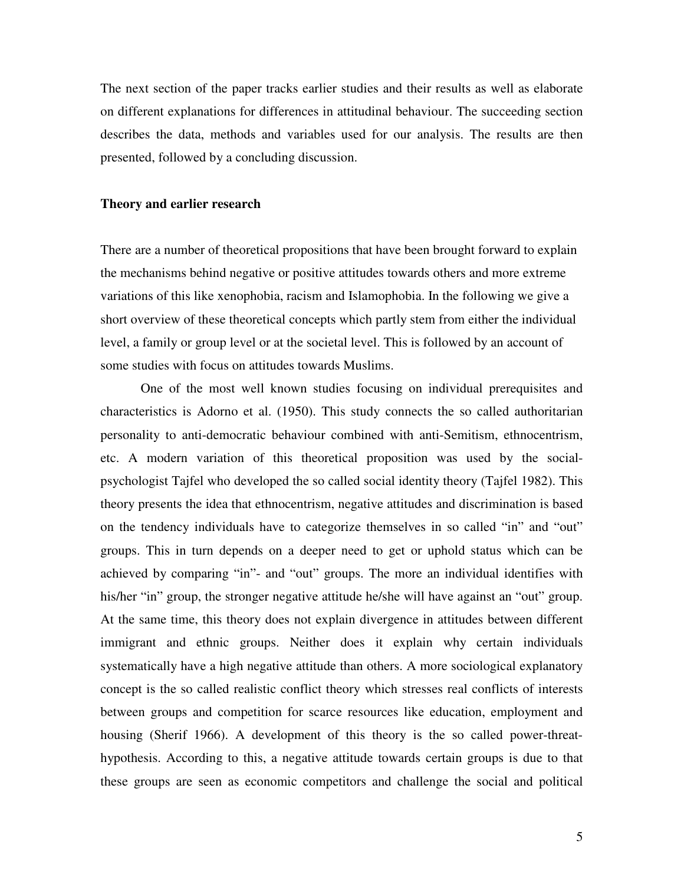The next section of the paper tracks earlier studies and their results as well as elaborate on different explanations for differences in attitudinal behaviour. The succeeding section describes the data, methods and variables used for our analysis. The results are then presented, followed by a concluding discussion.

#### **Theory and earlier research**

There are a number of theoretical propositions that have been brought forward to explain the mechanisms behind negative or positive attitudes towards others and more extreme variations of this like xenophobia, racism and Islamophobia. In the following we give a short overview of these theoretical concepts which partly stem from either the individual level, a family or group level or at the societal level. This is followed by an account of some studies with focus on attitudes towards Muslims.

 One of the most well known studies focusing on individual prerequisites and characteristics is Adorno et al. (1950). This study connects the so called authoritarian personality to anti-democratic behaviour combined with anti-Semitism, ethnocentrism, etc. A modern variation of this theoretical proposition was used by the socialpsychologist Tajfel who developed the so called social identity theory (Tajfel 1982). This theory presents the idea that ethnocentrism, negative attitudes and discrimination is based on the tendency individuals have to categorize themselves in so called "in" and "out" groups. This in turn depends on a deeper need to get or uphold status which can be achieved by comparing "in"- and "out" groups. The more an individual identifies with his/her "in" group, the stronger negative attitude he/she will have against an "out" group. At the same time, this theory does not explain divergence in attitudes between different immigrant and ethnic groups. Neither does it explain why certain individuals systematically have a high negative attitude than others. A more sociological explanatory concept is the so called realistic conflict theory which stresses real conflicts of interests between groups and competition for scarce resources like education, employment and housing (Sherif 1966). A development of this theory is the so called power-threathypothesis. According to this, a negative attitude towards certain groups is due to that these groups are seen as economic competitors and challenge the social and political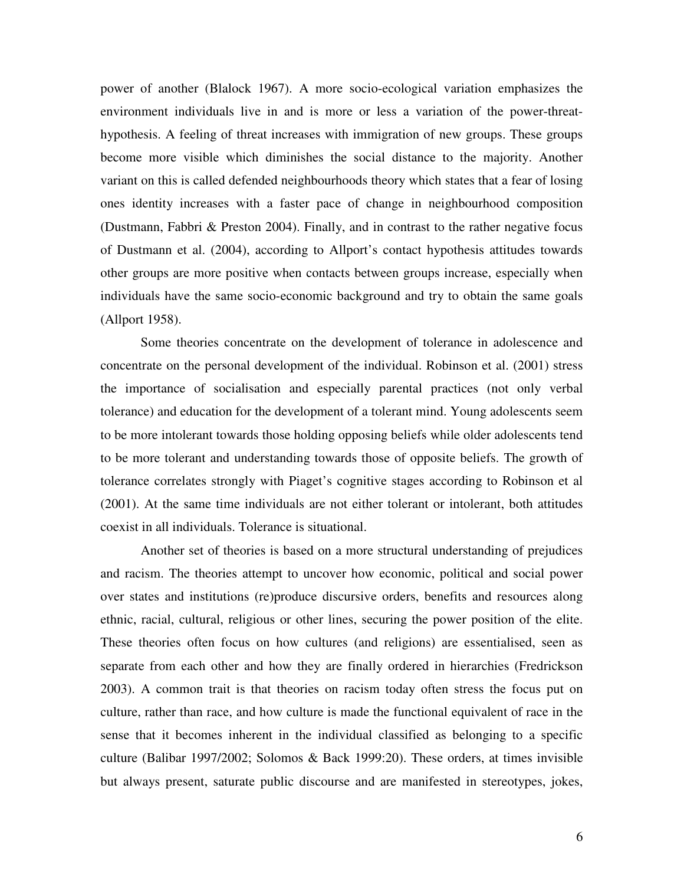power of another (Blalock 1967). A more socio-ecological variation emphasizes the environment individuals live in and is more or less a variation of the power-threathypothesis. A feeling of threat increases with immigration of new groups. These groups become more visible which diminishes the social distance to the majority. Another variant on this is called defended neighbourhoods theory which states that a fear of losing ones identity increases with a faster pace of change in neighbourhood composition (Dustmann, Fabbri & Preston 2004). Finally, and in contrast to the rather negative focus of Dustmann et al. (2004), according to Allport's contact hypothesis attitudes towards other groups are more positive when contacts between groups increase, especially when individuals have the same socio-economic background and try to obtain the same goals (Allport 1958).

Some theories concentrate on the development of tolerance in adolescence and concentrate on the personal development of the individual. Robinson et al. (2001) stress the importance of socialisation and especially parental practices (not only verbal tolerance) and education for the development of a tolerant mind. Young adolescents seem to be more intolerant towards those holding opposing beliefs while older adolescents tend to be more tolerant and understanding towards those of opposite beliefs. The growth of tolerance correlates strongly with Piaget's cognitive stages according to Robinson et al (2001). At the same time individuals are not either tolerant or intolerant, both attitudes coexist in all individuals. Tolerance is situational.

Another set of theories is based on a more structural understanding of prejudices and racism. The theories attempt to uncover how economic, political and social power over states and institutions (re)produce discursive orders, benefits and resources along ethnic, racial, cultural, religious or other lines, securing the power position of the elite. These theories often focus on how cultures (and religions) are essentialised, seen as separate from each other and how they are finally ordered in hierarchies (Fredrickson 2003). A common trait is that theories on racism today often stress the focus put on culture, rather than race, and how culture is made the functional equivalent of race in the sense that it becomes inherent in the individual classified as belonging to a specific culture (Balibar 1997/2002; Solomos & Back 1999:20). These orders, at times invisible but always present, saturate public discourse and are manifested in stereotypes, jokes,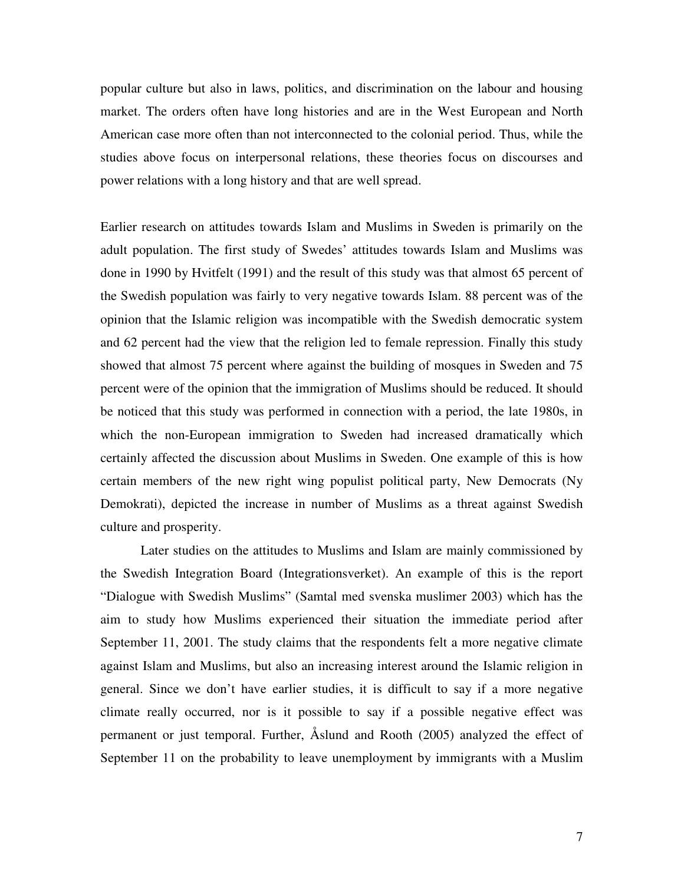popular culture but also in laws, politics, and discrimination on the labour and housing market. The orders often have long histories and are in the West European and North American case more often than not interconnected to the colonial period. Thus, while the studies above focus on interpersonal relations, these theories focus on discourses and power relations with a long history and that are well spread.

Earlier research on attitudes towards Islam and Muslims in Sweden is primarily on the adult population. The first study of Swedes' attitudes towards Islam and Muslims was done in 1990 by Hvitfelt (1991) and the result of this study was that almost 65 percent of the Swedish population was fairly to very negative towards Islam. 88 percent was of the opinion that the Islamic religion was incompatible with the Swedish democratic system and 62 percent had the view that the religion led to female repression. Finally this study showed that almost 75 percent where against the building of mosques in Sweden and 75 percent were of the opinion that the immigration of Muslims should be reduced. It should be noticed that this study was performed in connection with a period, the late 1980s, in which the non-European immigration to Sweden had increased dramatically which certainly affected the discussion about Muslims in Sweden. One example of this is how certain members of the new right wing populist political party, New Democrats (Ny Demokrati), depicted the increase in number of Muslims as a threat against Swedish culture and prosperity.

 Later studies on the attitudes to Muslims and Islam are mainly commissioned by the Swedish Integration Board (Integrationsverket). An example of this is the report "Dialogue with Swedish Muslims" (Samtal med svenska muslimer 2003) which has the aim to study how Muslims experienced their situation the immediate period after September 11, 2001. The study claims that the respondents felt a more negative climate against Islam and Muslims, but also an increasing interest around the Islamic religion in general. Since we don't have earlier studies, it is difficult to say if a more negative climate really occurred, nor is it possible to say if a possible negative effect was permanent or just temporal. Further, Åslund and Rooth (2005) analyzed the effect of September 11 on the probability to leave unemployment by immigrants with a Muslim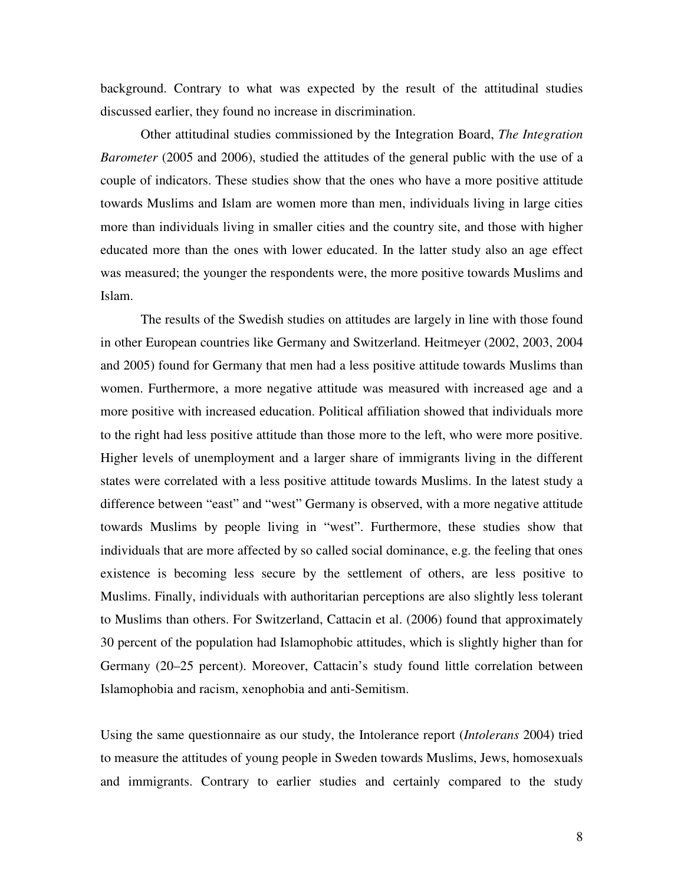background. Contrary to what was expected by the result of the attitudinal studies discussed earlier, they found no increase in discrimination.

 Other attitudinal studies commissioned by the Integration Board, *The Integration Barometer* (2005 and 2006), studied the attitudes of the general public with the use of a couple of indicators. These studies show that the ones who have a more positive attitude towards Muslims and Islam are women more than men, individuals living in large cities more than individuals living in smaller cities and the country site, and those with higher educated more than the ones with lower educated. In the latter study also an age effect was measured; the younger the respondents were, the more positive towards Muslims and Islam.

 The results of the Swedish studies on attitudes are largely in line with those found in other European countries like Germany and Switzerland. Heitmeyer (2002, 2003, 2004 and 2005) found for Germany that men had a less positive attitude towards Muslims than women. Furthermore, a more negative attitude was measured with increased age and a more positive with increased education. Political affiliation showed that individuals more to the right had less positive attitude than those more to the left, who were more positive. Higher levels of unemployment and a larger share of immigrants living in the different states were correlated with a less positive attitude towards Muslims. In the latest study a difference between "east" and "west" Germany is observed, with a more negative attitude towards Muslims by people living in "west". Furthermore, these studies show that individuals that are more affected by so called social dominance, e.g. the feeling that ones existence is becoming less secure by the settlement of others, are less positive to Muslims. Finally, individuals with authoritarian perceptions are also slightly less tolerant to Muslims than others. For Switzerland, Cattacin et al. (2006) found that approximately 30 percent of the population had Islamophobic attitudes, which is slightly higher than for Germany (20–25 percent). Moreover, Cattacin's study found little correlation between Islamophobia and racism, xenophobia and anti-Semitism.

Using the same questionnaire as our study, the Intolerance report (*Intolerans* 2004) tried to measure the attitudes of young people in Sweden towards Muslims, Jews, homosexuals and immigrants. Contrary to earlier studies and certainly compared to the study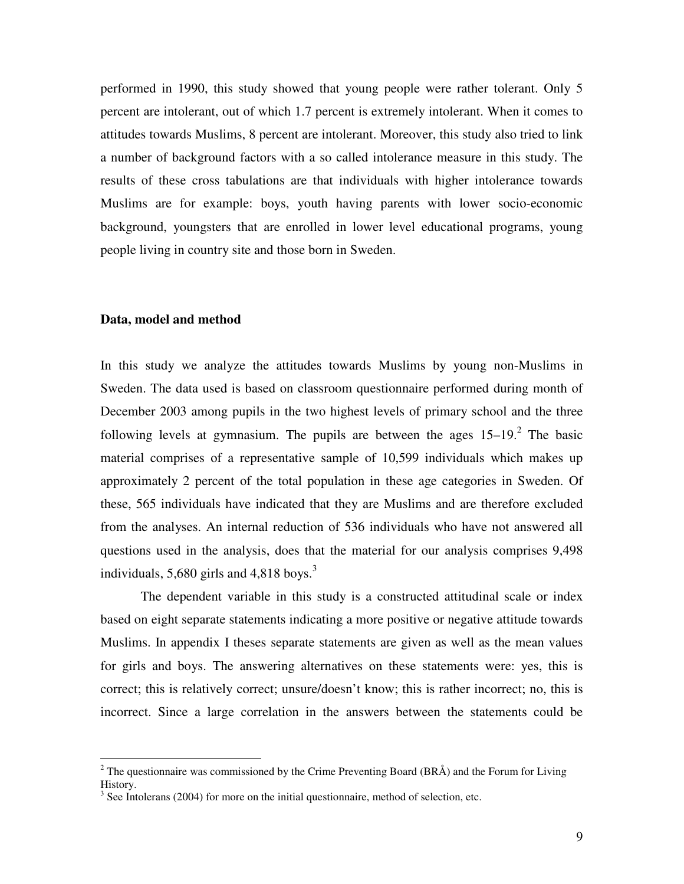performed in 1990, this study showed that young people were rather tolerant. Only 5 percent are intolerant, out of which 1.7 percent is extremely intolerant. When it comes to attitudes towards Muslims, 8 percent are intolerant. Moreover, this study also tried to link a number of background factors with a so called intolerance measure in this study. The results of these cross tabulations are that individuals with higher intolerance towards Muslims are for example: boys, youth having parents with lower socio-economic background, youngsters that are enrolled in lower level educational programs, young people living in country site and those born in Sweden.

#### **Data, model and method**

 $\overline{a}$ 

In this study we analyze the attitudes towards Muslims by young non-Muslims in Sweden. The data used is based on classroom questionnaire performed during month of December 2003 among pupils in the two highest levels of primary school and the three following levels at gymnasium. The pupils are between the ages  $15-19$ .<sup>2</sup> The basic material comprises of a representative sample of 10,599 individuals which makes up approximately 2 percent of the total population in these age categories in Sweden. Of these, 565 individuals have indicated that they are Muslims and are therefore excluded from the analyses. An internal reduction of 536 individuals who have not answered all questions used in the analysis, does that the material for our analysis comprises 9,498 individuals,  $5,680$  girls and  $4,818$  boys.<sup>3</sup>

 The dependent variable in this study is a constructed attitudinal scale or index based on eight separate statements indicating a more positive or negative attitude towards Muslims. In appendix I theses separate statements are given as well as the mean values for girls and boys. The answering alternatives on these statements were: yes, this is correct; this is relatively correct; unsure/doesn't know; this is rather incorrect; no, this is incorrect. Since a large correlation in the answers between the statements could be

<sup>&</sup>lt;sup>2</sup> The questionnaire was commissioned by the Crime Preventing Board (BRÅ) and the Forum for Living History.

 $3$  See Intolerans (2004) for more on the initial questionnaire, method of selection, etc.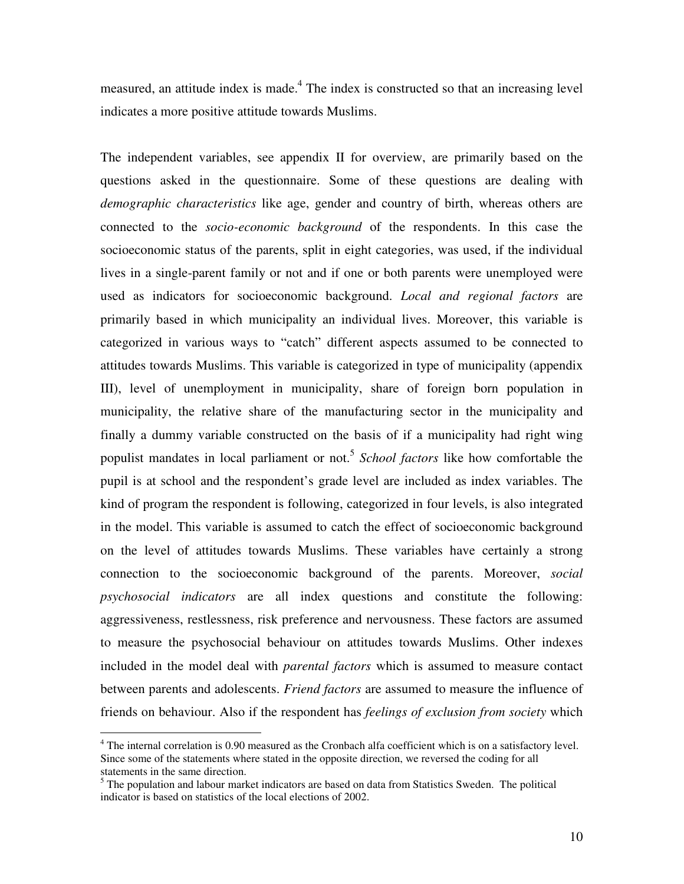measured, an attitude index is made.<sup>4</sup> The index is constructed so that an increasing level indicates a more positive attitude towards Muslims.

The independent variables, see appendix II for overview, are primarily based on the questions asked in the questionnaire. Some of these questions are dealing with *demographic characteristics* like age, gender and country of birth, whereas others are connected to the *socio-economic background* of the respondents. In this case the socioeconomic status of the parents, split in eight categories, was used, if the individual lives in a single-parent family or not and if one or both parents were unemployed were used as indicators for socioeconomic background. *Local and regional factors* are primarily based in which municipality an individual lives. Moreover, this variable is categorized in various ways to "catch" different aspects assumed to be connected to attitudes towards Muslims. This variable is categorized in type of municipality (appendix III), level of unemployment in municipality, share of foreign born population in municipality, the relative share of the manufacturing sector in the municipality and finally a dummy variable constructed on the basis of if a municipality had right wing populist mandates in local parliament or not.<sup>5</sup> *School factors* like how comfortable the pupil is at school and the respondent's grade level are included as index variables. The kind of program the respondent is following, categorized in four levels, is also integrated in the model. This variable is assumed to catch the effect of socioeconomic background on the level of attitudes towards Muslims. These variables have certainly a strong connection to the socioeconomic background of the parents. Moreover, *social psychosocial indicators* are all index questions and constitute the following: aggressiveness, restlessness, risk preference and nervousness. These factors are assumed to measure the psychosocial behaviour on attitudes towards Muslims. Other indexes included in the model deal with *parental factors* which is assumed to measure contact between parents and adolescents. *Friend factors* are assumed to measure the influence of friends on behaviour. Also if the respondent has *feelings of exclusion from society* which

 $\overline{a}$ 

 $4$  The internal correlation is 0.90 measured as the Cronbach alfa coefficient which is on a satisfactory level. Since some of the statements where stated in the opposite direction, we reversed the coding for all statements in the same direction.

 $<sup>5</sup>$  The population and labour market indicators are based on data from Statistics Sweden. The political</sup> indicator is based on statistics of the local elections of 2002.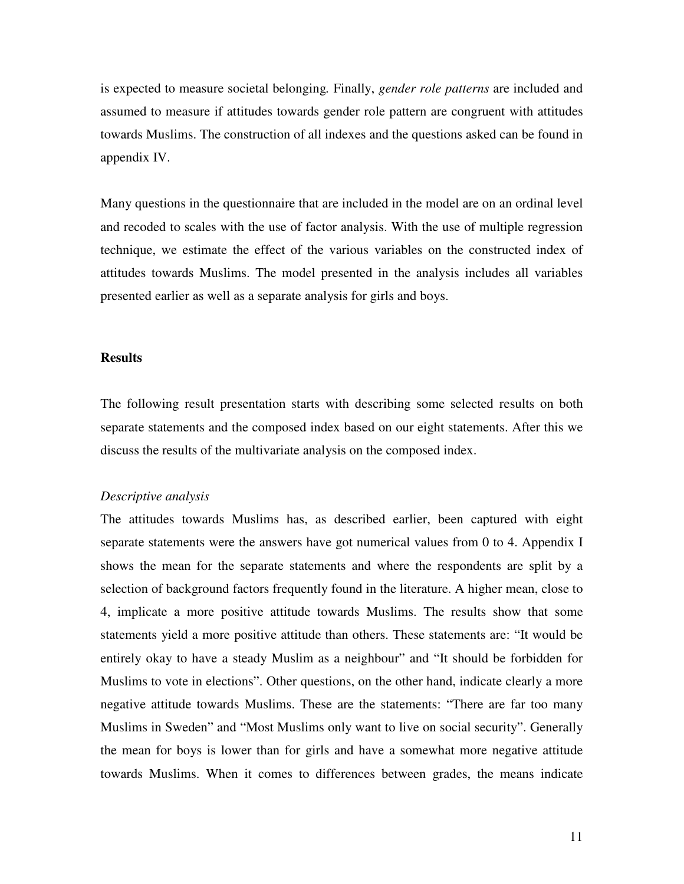is expected to measure societal belonging*.* Finally, *gender role patterns* are included and assumed to measure if attitudes towards gender role pattern are congruent with attitudes towards Muslims. The construction of all indexes and the questions asked can be found in appendix IV.

Many questions in the questionnaire that are included in the model are on an ordinal level and recoded to scales with the use of factor analysis. With the use of multiple regression technique, we estimate the effect of the various variables on the constructed index of attitudes towards Muslims. The model presented in the analysis includes all variables presented earlier as well as a separate analysis for girls and boys.

#### **Results**

The following result presentation starts with describing some selected results on both separate statements and the composed index based on our eight statements. After this we discuss the results of the multivariate analysis on the composed index.

#### *Descriptive analysis*

The attitudes towards Muslims has, as described earlier, been captured with eight separate statements were the answers have got numerical values from 0 to 4. Appendix I shows the mean for the separate statements and where the respondents are split by a selection of background factors frequently found in the literature. A higher mean, close to 4, implicate a more positive attitude towards Muslims. The results show that some statements yield a more positive attitude than others. These statements are: "It would be entirely okay to have a steady Muslim as a neighbour" and "It should be forbidden for Muslims to vote in elections". Other questions, on the other hand, indicate clearly a more negative attitude towards Muslims. These are the statements: "There are far too many Muslims in Sweden" and "Most Muslims only want to live on social security". Generally the mean for boys is lower than for girls and have a somewhat more negative attitude towards Muslims. When it comes to differences between grades, the means indicate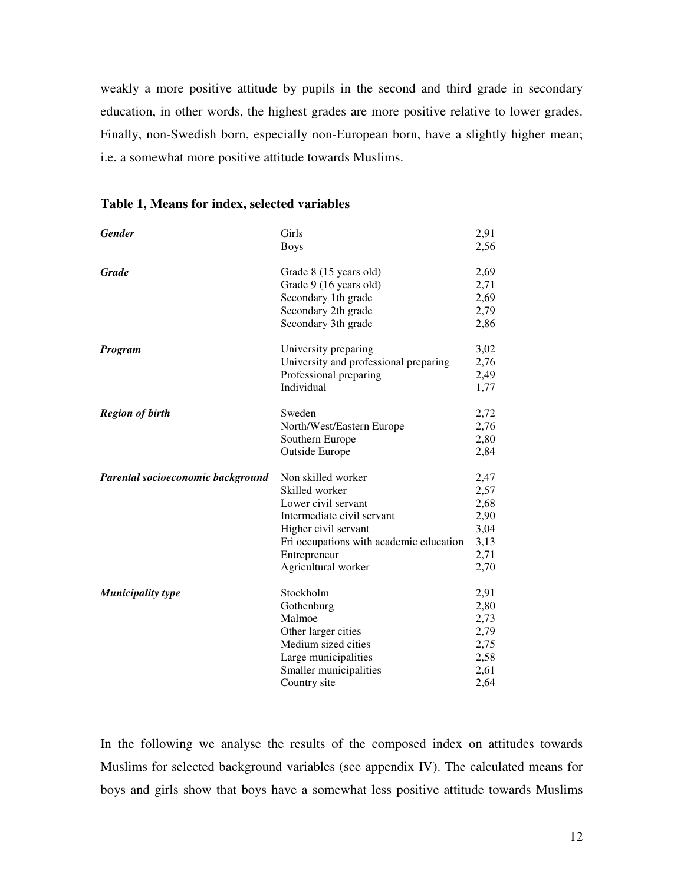weakly a more positive attitude by pupils in the second and third grade in secondary education, in other words, the highest grades are more positive relative to lower grades. Finally, non-Swedish born, especially non-European born, have a slightly higher mean; i.e. a somewhat more positive attitude towards Muslims.

| <b>Gender</b>                     | Girls                                   | 2,91 |
|-----------------------------------|-----------------------------------------|------|
|                                   | <b>Boys</b>                             | 2,56 |
|                                   |                                         |      |
| <b>Grade</b>                      | Grade 8 (15 years old)                  | 2,69 |
|                                   | Grade 9 (16 years old)                  | 2,71 |
|                                   | Secondary 1th grade                     | 2,69 |
|                                   | Secondary 2th grade                     | 2,79 |
|                                   | Secondary 3th grade                     | 2,86 |
| Program                           | University preparing                    | 3,02 |
|                                   | University and professional preparing   | 2,76 |
|                                   | Professional preparing                  | 2,49 |
|                                   | Individual                              | 1,77 |
| <b>Region of birth</b>            | Sweden                                  | 2,72 |
|                                   | North/West/Eastern Europe               | 2,76 |
|                                   | Southern Europe                         | 2,80 |
|                                   | <b>Outside Europe</b>                   | 2,84 |
|                                   |                                         |      |
| Parental socioeconomic background | Non skilled worker                      | 2,47 |
|                                   | Skilled worker                          | 2,57 |
|                                   | Lower civil servant                     | 2,68 |
|                                   | Intermediate civil servant              | 2,90 |
|                                   | Higher civil servant                    | 3,04 |
|                                   | Fri occupations with academic education | 3,13 |
|                                   | Entrepreneur                            | 2,71 |
|                                   | Agricultural worker                     | 2,70 |
| <b>Municipality type</b>          | Stockholm                               | 2,91 |
|                                   | Gothenburg                              | 2,80 |
|                                   | Malmoe                                  | 2,73 |
|                                   | Other larger cities                     | 2,79 |
|                                   | Medium sized cities                     | 2,75 |
|                                   | Large municipalities                    | 2,58 |
|                                   | Smaller municipalities                  | 2,61 |
|                                   | Country site                            | 2,64 |

**Table 1, Means for index, selected variables** 

In the following we analyse the results of the composed index on attitudes towards Muslims for selected background variables (see appendix IV). The calculated means for boys and girls show that boys have a somewhat less positive attitude towards Muslims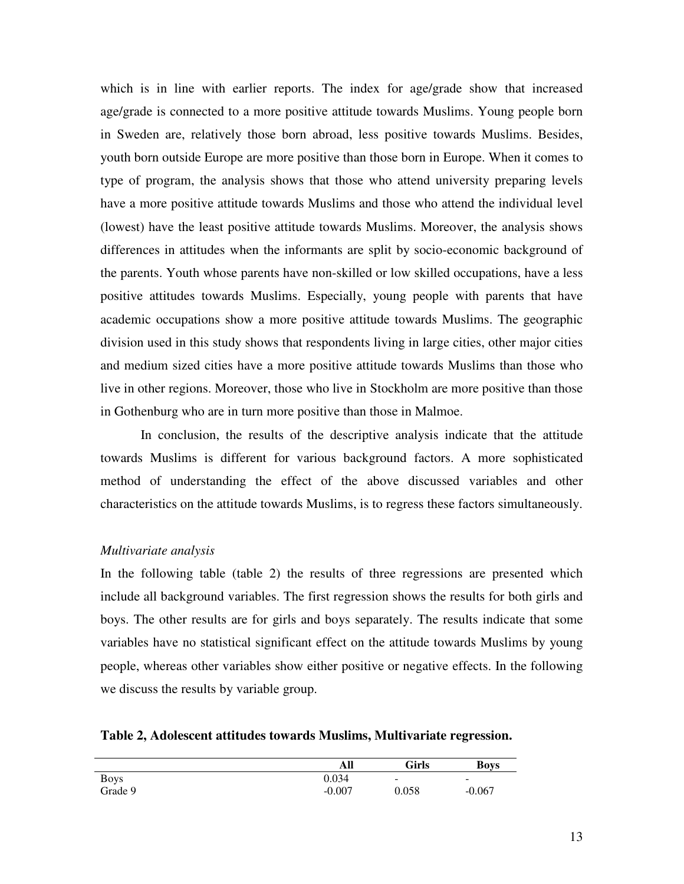which is in line with earlier reports. The index for age/grade show that increased age/grade is connected to a more positive attitude towards Muslims. Young people born in Sweden are, relatively those born abroad, less positive towards Muslims. Besides, youth born outside Europe are more positive than those born in Europe. When it comes to type of program, the analysis shows that those who attend university preparing levels have a more positive attitude towards Muslims and those who attend the individual level (lowest) have the least positive attitude towards Muslims. Moreover, the analysis shows differences in attitudes when the informants are split by socio-economic background of the parents. Youth whose parents have non-skilled or low skilled occupations, have a less positive attitudes towards Muslims. Especially, young people with parents that have academic occupations show a more positive attitude towards Muslims. The geographic division used in this study shows that respondents living in large cities, other major cities and medium sized cities have a more positive attitude towards Muslims than those who live in other regions. Moreover, those who live in Stockholm are more positive than those in Gothenburg who are in turn more positive than those in Malmoe.

In conclusion, the results of the descriptive analysis indicate that the attitude towards Muslims is different for various background factors. A more sophisticated method of understanding the effect of the above discussed variables and other characteristics on the attitude towards Muslims, is to regress these factors simultaneously.

#### *Multivariate analysis*

In the following table (table 2) the results of three regressions are presented which include all background variables. The first regression shows the results for both girls and boys. The other results are for girls and boys separately. The results indicate that some variables have no statistical significant effect on the attitude towards Muslims by young people, whereas other variables show either positive or negative effects. In the following we discuss the results by variable group.

| Table 2, Adolescent attitudes towards Muslims, Multivariate regression. |  |  |  |  |  |  |  |
|-------------------------------------------------------------------------|--|--|--|--|--|--|--|
|-------------------------------------------------------------------------|--|--|--|--|--|--|--|

|             | All      | Girls                    | <b>Boys</b> |
|-------------|----------|--------------------------|-------------|
| <b>Boys</b> | 0.034    | $\overline{\phantom{a}}$ | -           |
| Grade 9     | $-0.007$ | 0.058                    | $-0.067$    |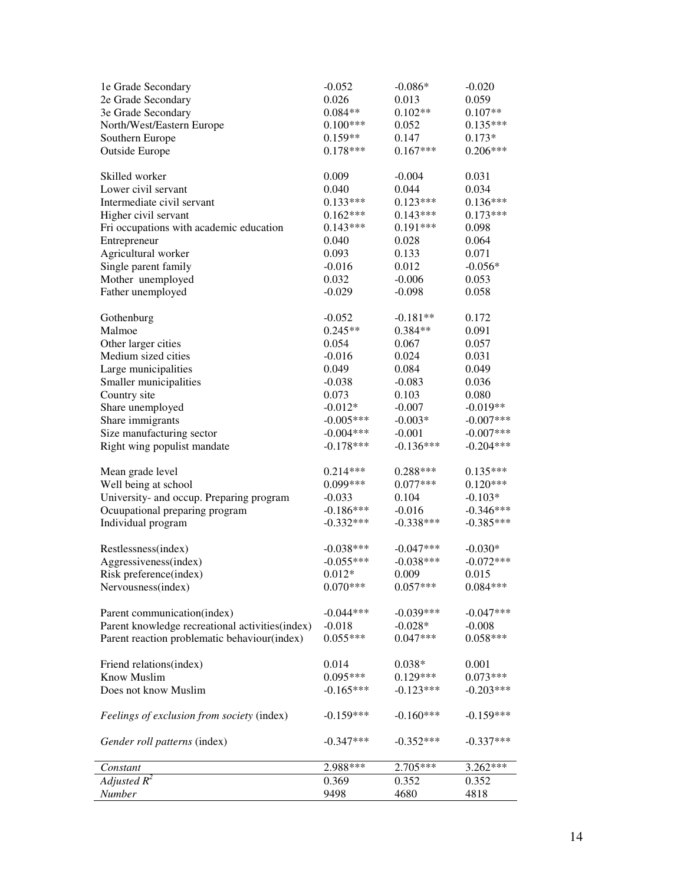| 1e Grade Secondary                               | $-0.052$    | $-0.086*$   | $-0.020$    |
|--------------------------------------------------|-------------|-------------|-------------|
| 2e Grade Secondary                               | 0.026       | 0.013       | 0.059       |
| 3e Grade Secondary                               | $0.084**$   | $0.102**$   | $0.107**$   |
| North/West/Eastern Europe                        | $0.100***$  | 0.052       | $0.135***$  |
| Southern Europe                                  | $0.159**$   | 0.147       | $0.173*$    |
| <b>Outside Europe</b>                            | $0.178***$  | $0.167***$  | $0.206***$  |
|                                                  |             |             |             |
| Skilled worker                                   | 0.009       | $-0.004$    | 0.031       |
| Lower civil servant                              | 0.040       | 0.044       | 0.034       |
| Intermediate civil servant                       | $0.133***$  | $0.123***$  | $0.136***$  |
| Higher civil servant                             | $0.162***$  | $0.143***$  | $0.173***$  |
| Fri occupations with academic education          | $0.143***$  | $0.191***$  | 0.098       |
| Entrepreneur                                     | 0.040       | 0.028       | 0.064       |
| Agricultural worker                              | 0.093       | 0.133       | 0.071       |
| Single parent family                             | $-0.016$    | 0.012       | $-0.056*$   |
| Mother unemployed                                | 0.032       | $-0.006$    | 0.053       |
| Father unemployed                                | $-0.029$    | $-0.098$    | 0.058       |
|                                                  |             |             |             |
| Gothenburg                                       | $-0.052$    | $-0.181**$  | 0.172       |
| Malmoe                                           | $0.245**$   | $0.384**$   | 0.091       |
| Other larger cities                              | 0.054       | 0.067       | 0.057       |
| Medium sized cities                              | $-0.016$    | 0.024       | 0.031       |
| Large municipalities                             | 0.049       | 0.084       | 0.049       |
| Smaller municipalities                           | $-0.038$    | $-0.083$    | 0.036       |
| Country site                                     | 0.073       | 0.103       | 0.080       |
| Share unemployed                                 | $-0.012*$   | $-0.007$    | $-0.019**$  |
| Share immigrants                                 | $-0.005***$ | $-0.003*$   | $-0.007***$ |
| Size manufacturing sector                        | $-0.004***$ | $-0.001$    | $-0.007***$ |
| Right wing populist mandate                      | $-0.178***$ | $-0.136***$ | $-0.204***$ |
|                                                  |             |             |             |
| Mean grade level                                 | $0.214***$  | 0.288***    | $0.135***$  |
| Well being at school                             | $0.099***$  | $0.077***$  | $0.120***$  |
| University- and occup. Preparing program         | $-0.033$    | 0.104       | $-0.103*$   |
| Ocuupational preparing program                   | $-0.186***$ | $-0.016$    | $-0.346***$ |
| Individual program                               | $-0.332***$ | $-0.338***$ | $-0.385***$ |
|                                                  |             |             |             |
| Restlessness(index)                              | $-0.038***$ | $-0.047***$ | $-0.030*$   |
| Aggressiveness(index)                            | $-0.055***$ | $-0.038***$ | $-0.072***$ |
| Risk preference(index)                           | $0.012*$    | 0.009       | 0.015       |
| Nervousness(index)                               | $0.070***$  | $0.057***$  | $0.084***$  |
|                                                  |             |             |             |
| Parent communication(index)                      | $-0.044***$ | $-0.039***$ | $-0.047***$ |
| Parent knowledge recreational activities (index) | $-0.018$    | $-0.028*$   | $-0.008$    |
| Parent reaction problematic behaviour(index)     | $0.055***$  | $0.047***$  | $0.058***$  |
|                                                  |             |             |             |
| Friend relations(index)                          | 0.014       | $0.038*$    | 0.001       |
| <b>Know Muslim</b>                               | $0.095***$  | $0.129***$  | $0.073***$  |
| Does not know Muslim                             | $-0.165***$ | $-0.123***$ | $-0.203***$ |
|                                                  |             |             |             |
| Feelings of exclusion from society (index)       | $-0.159***$ | $-0.160***$ | $-0.159***$ |
| Gender roll patterns (index)                     | $-0.347***$ | $-0.352***$ | $-0.337***$ |
|                                                  |             |             |             |
| Constant                                         | 2.988***    | 2.705***    | 3.262***    |
| Adjusted $R^2$                                   | 0.369       | 0.352       | 0.352       |
| Number                                           | 9498        | 4680        | 4818        |
|                                                  |             |             |             |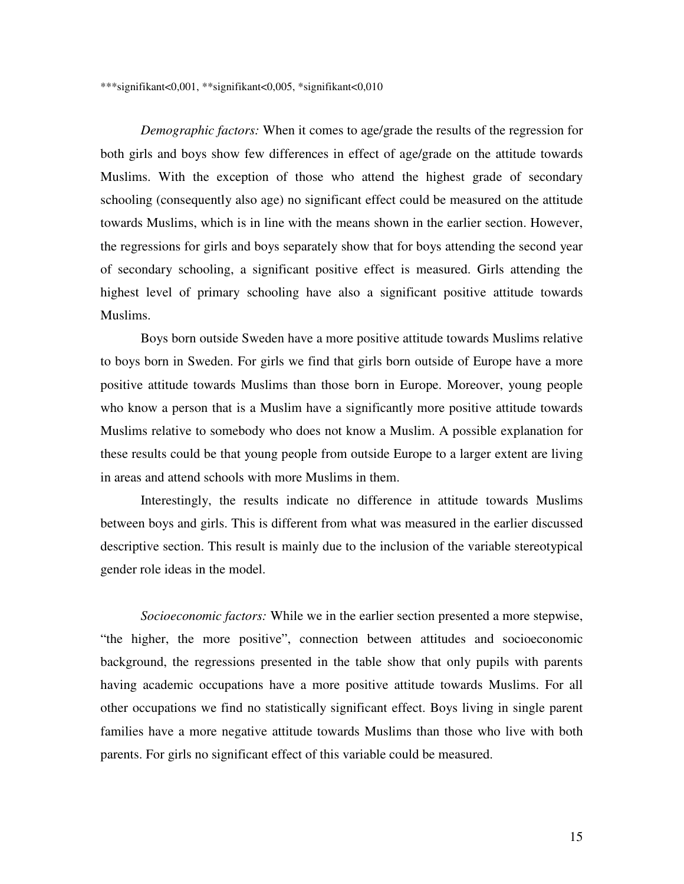\*\*\*signifikant<0,001, \*\*signifikant<0,005, \*signifikant<0,010

*Demographic factors:* When it comes to age/grade the results of the regression for both girls and boys show few differences in effect of age/grade on the attitude towards Muslims. With the exception of those who attend the highest grade of secondary schooling (consequently also age) no significant effect could be measured on the attitude towards Muslims, which is in line with the means shown in the earlier section. However, the regressions for girls and boys separately show that for boys attending the second year of secondary schooling, a significant positive effect is measured. Girls attending the highest level of primary schooling have also a significant positive attitude towards Muslims.

Boys born outside Sweden have a more positive attitude towards Muslims relative to boys born in Sweden. For girls we find that girls born outside of Europe have a more positive attitude towards Muslims than those born in Europe. Moreover, young people who know a person that is a Muslim have a significantly more positive attitude towards Muslims relative to somebody who does not know a Muslim. A possible explanation for these results could be that young people from outside Europe to a larger extent are living in areas and attend schools with more Muslims in them.

Interestingly, the results indicate no difference in attitude towards Muslims between boys and girls. This is different from what was measured in the earlier discussed descriptive section. This result is mainly due to the inclusion of the variable stereotypical gender role ideas in the model.

*Socioeconomic factors:* While we in the earlier section presented a more stepwise, "the higher, the more positive", connection between attitudes and socioeconomic background, the regressions presented in the table show that only pupils with parents having academic occupations have a more positive attitude towards Muslims. For all other occupations we find no statistically significant effect. Boys living in single parent families have a more negative attitude towards Muslims than those who live with both parents. For girls no significant effect of this variable could be measured.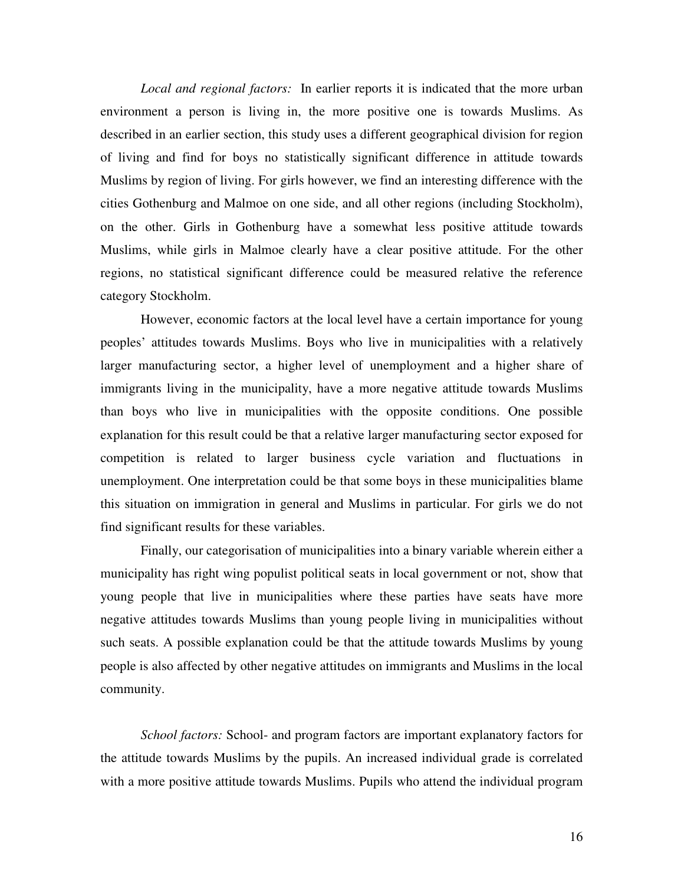*Local and regional factors:* In earlier reports it is indicated that the more urban environment a person is living in, the more positive one is towards Muslims. As described in an earlier section, this study uses a different geographical division for region of living and find for boys no statistically significant difference in attitude towards Muslims by region of living. For girls however, we find an interesting difference with the cities Gothenburg and Malmoe on one side, and all other regions (including Stockholm), on the other. Girls in Gothenburg have a somewhat less positive attitude towards Muslims, while girls in Malmoe clearly have a clear positive attitude. For the other regions, no statistical significant difference could be measured relative the reference category Stockholm.

However, economic factors at the local level have a certain importance for young peoples' attitudes towards Muslims. Boys who live in municipalities with a relatively larger manufacturing sector, a higher level of unemployment and a higher share of immigrants living in the municipality, have a more negative attitude towards Muslims than boys who live in municipalities with the opposite conditions. One possible explanation for this result could be that a relative larger manufacturing sector exposed for competition is related to larger business cycle variation and fluctuations in unemployment. One interpretation could be that some boys in these municipalities blame this situation on immigration in general and Muslims in particular. For girls we do not find significant results for these variables.

Finally, our categorisation of municipalities into a binary variable wherein either a municipality has right wing populist political seats in local government or not, show that young people that live in municipalities where these parties have seats have more negative attitudes towards Muslims than young people living in municipalities without such seats. A possible explanation could be that the attitude towards Muslims by young people is also affected by other negative attitudes on immigrants and Muslims in the local community.

*School factors:* School- and program factors are important explanatory factors for the attitude towards Muslims by the pupils. An increased individual grade is correlated with a more positive attitude towards Muslims. Pupils who attend the individual program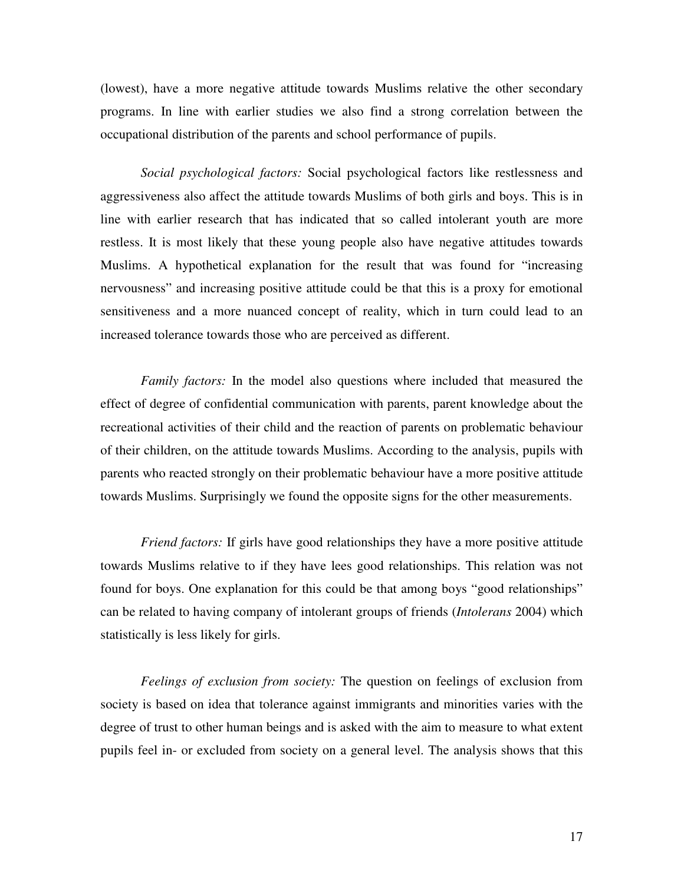(lowest), have a more negative attitude towards Muslims relative the other secondary programs. In line with earlier studies we also find a strong correlation between the occupational distribution of the parents and school performance of pupils.

*Social psychological factors:* Social psychological factors like restlessness and aggressiveness also affect the attitude towards Muslims of both girls and boys. This is in line with earlier research that has indicated that so called intolerant youth are more restless. It is most likely that these young people also have negative attitudes towards Muslims. A hypothetical explanation for the result that was found for "increasing nervousness" and increasing positive attitude could be that this is a proxy for emotional sensitiveness and a more nuanced concept of reality, which in turn could lead to an increased tolerance towards those who are perceived as different.

*Family factors:* In the model also questions where included that measured the effect of degree of confidential communication with parents, parent knowledge about the recreational activities of their child and the reaction of parents on problematic behaviour of their children, on the attitude towards Muslims. According to the analysis, pupils with parents who reacted strongly on their problematic behaviour have a more positive attitude towards Muslims. Surprisingly we found the opposite signs for the other measurements.

*Friend factors:* If girls have good relationships they have a more positive attitude towards Muslims relative to if they have lees good relationships. This relation was not found for boys. One explanation for this could be that among boys "good relationships" can be related to having company of intolerant groups of friends (*Intolerans* 2004) which statistically is less likely for girls.

*Feelings of exclusion from society:* The question on feelings of exclusion from society is based on idea that tolerance against immigrants and minorities varies with the degree of trust to other human beings and is asked with the aim to measure to what extent pupils feel in- or excluded from society on a general level. The analysis shows that this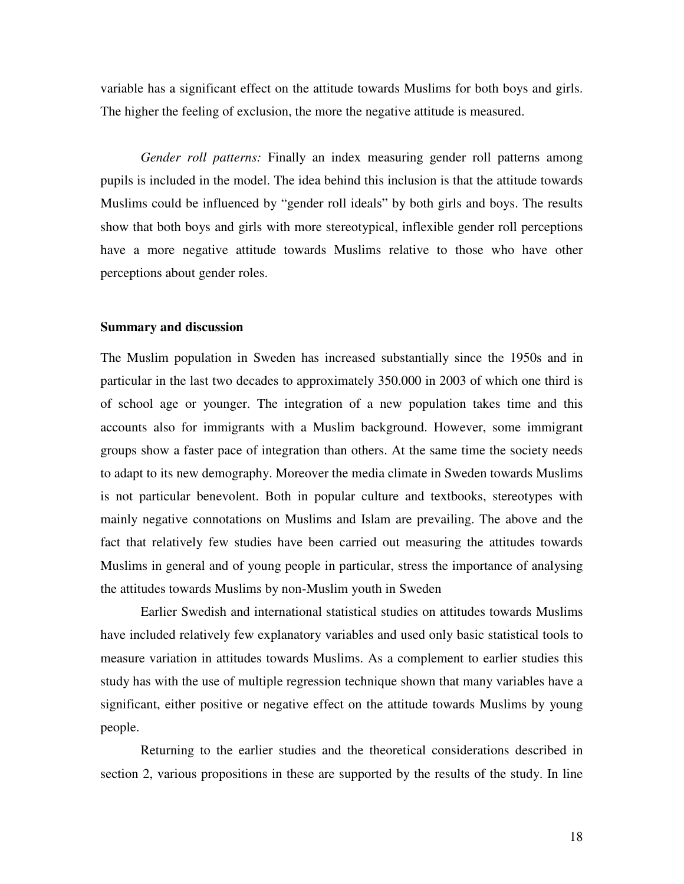variable has a significant effect on the attitude towards Muslims for both boys and girls. The higher the feeling of exclusion, the more the negative attitude is measured.

*Gender roll patterns:* Finally an index measuring gender roll patterns among pupils is included in the model. The idea behind this inclusion is that the attitude towards Muslims could be influenced by "gender roll ideals" by both girls and boys. The results show that both boys and girls with more stereotypical, inflexible gender roll perceptions have a more negative attitude towards Muslims relative to those who have other perceptions about gender roles.

#### **Summary and discussion**

The Muslim population in Sweden has increased substantially since the 1950s and in particular in the last two decades to approximately 350.000 in 2003 of which one third is of school age or younger. The integration of a new population takes time and this accounts also for immigrants with a Muslim background. However, some immigrant groups show a faster pace of integration than others. At the same time the society needs to adapt to its new demography. Moreover the media climate in Sweden towards Muslims is not particular benevolent. Both in popular culture and textbooks, stereotypes with mainly negative connotations on Muslims and Islam are prevailing. The above and the fact that relatively few studies have been carried out measuring the attitudes towards Muslims in general and of young people in particular, stress the importance of analysing the attitudes towards Muslims by non-Muslim youth in Sweden

Earlier Swedish and international statistical studies on attitudes towards Muslims have included relatively few explanatory variables and used only basic statistical tools to measure variation in attitudes towards Muslims. As a complement to earlier studies this study has with the use of multiple regression technique shown that many variables have a significant, either positive or negative effect on the attitude towards Muslims by young people.

Returning to the earlier studies and the theoretical considerations described in section 2, various propositions in these are supported by the results of the study. In line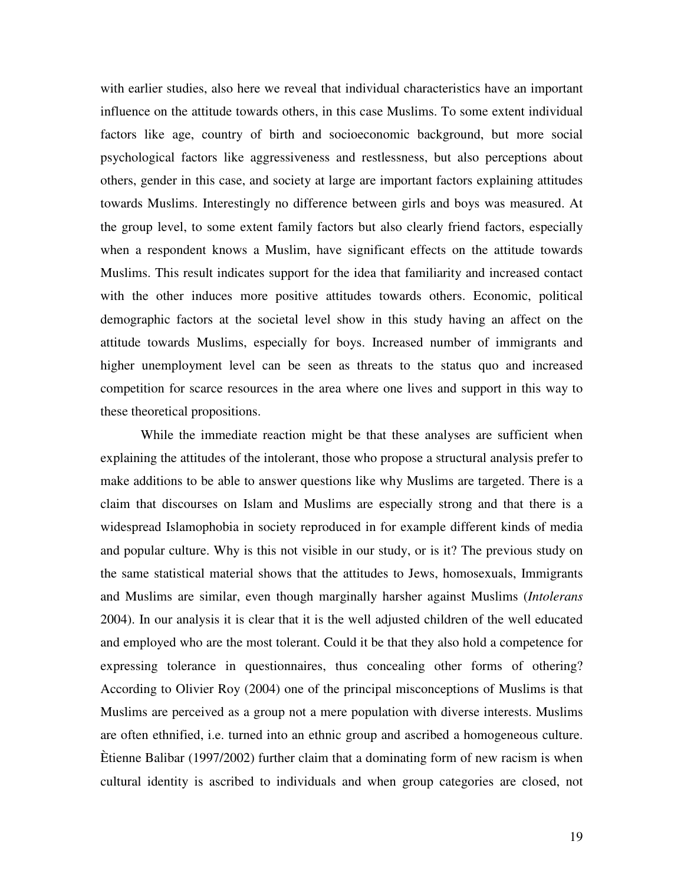with earlier studies, also here we reveal that individual characteristics have an important influence on the attitude towards others, in this case Muslims. To some extent individual factors like age, country of birth and socioeconomic background, but more social psychological factors like aggressiveness and restlessness, but also perceptions about others, gender in this case, and society at large are important factors explaining attitudes towards Muslims. Interestingly no difference between girls and boys was measured. At the group level, to some extent family factors but also clearly friend factors, especially when a respondent knows a Muslim, have significant effects on the attitude towards Muslims. This result indicates support for the idea that familiarity and increased contact with the other induces more positive attitudes towards others. Economic, political demographic factors at the societal level show in this study having an affect on the attitude towards Muslims, especially for boys. Increased number of immigrants and higher unemployment level can be seen as threats to the status quo and increased competition for scarce resources in the area where one lives and support in this way to these theoretical propositions.

While the immediate reaction might be that these analyses are sufficient when explaining the attitudes of the intolerant, those who propose a structural analysis prefer to make additions to be able to answer questions like why Muslims are targeted. There is a claim that discourses on Islam and Muslims are especially strong and that there is a widespread Islamophobia in society reproduced in for example different kinds of media and popular culture. Why is this not visible in our study, or is it? The previous study on the same statistical material shows that the attitudes to Jews, homosexuals, Immigrants and Muslims are similar, even though marginally harsher against Muslims (*Intolerans* 2004). In our analysis it is clear that it is the well adjusted children of the well educated and employed who are the most tolerant. Could it be that they also hold a competence for expressing tolerance in questionnaires, thus concealing other forms of othering? According to Olivier Roy (2004) one of the principal misconceptions of Muslims is that Muslims are perceived as a group not a mere population with diverse interests. Muslims are often ethnified, i.e. turned into an ethnic group and ascribed a homogeneous culture. Ètienne Balibar (1997/2002) further claim that a dominating form of new racism is when cultural identity is ascribed to individuals and when group categories are closed, not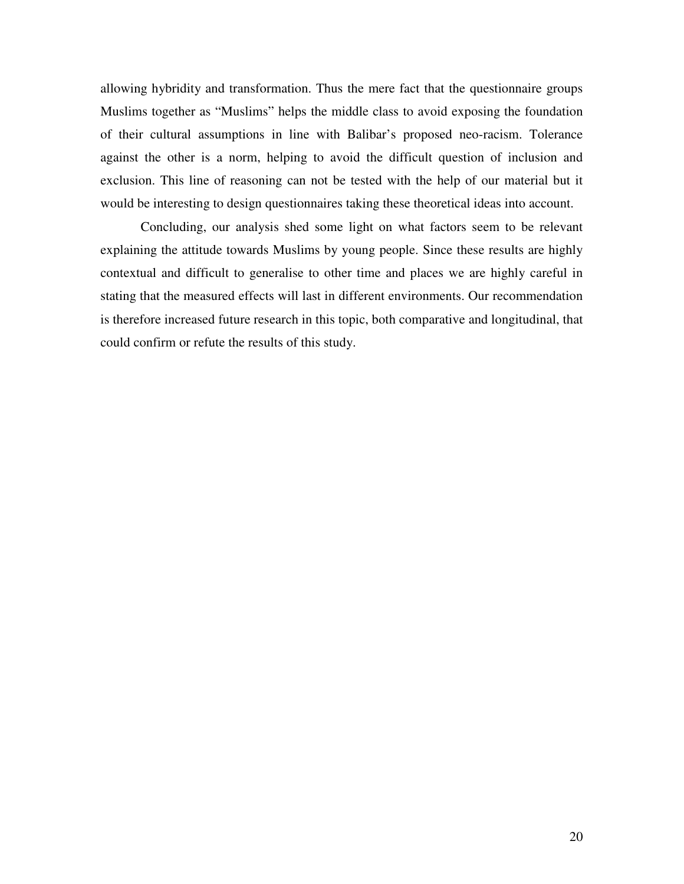allowing hybridity and transformation. Thus the mere fact that the questionnaire groups Muslims together as "Muslims" helps the middle class to avoid exposing the foundation of their cultural assumptions in line with Balibar's proposed neo-racism. Tolerance against the other is a norm, helping to avoid the difficult question of inclusion and exclusion. This line of reasoning can not be tested with the help of our material but it would be interesting to design questionnaires taking these theoretical ideas into account.

Concluding, our analysis shed some light on what factors seem to be relevant explaining the attitude towards Muslims by young people. Since these results are highly contextual and difficult to generalise to other time and places we are highly careful in stating that the measured effects will last in different environments. Our recommendation is therefore increased future research in this topic, both comparative and longitudinal, that could confirm or refute the results of this study.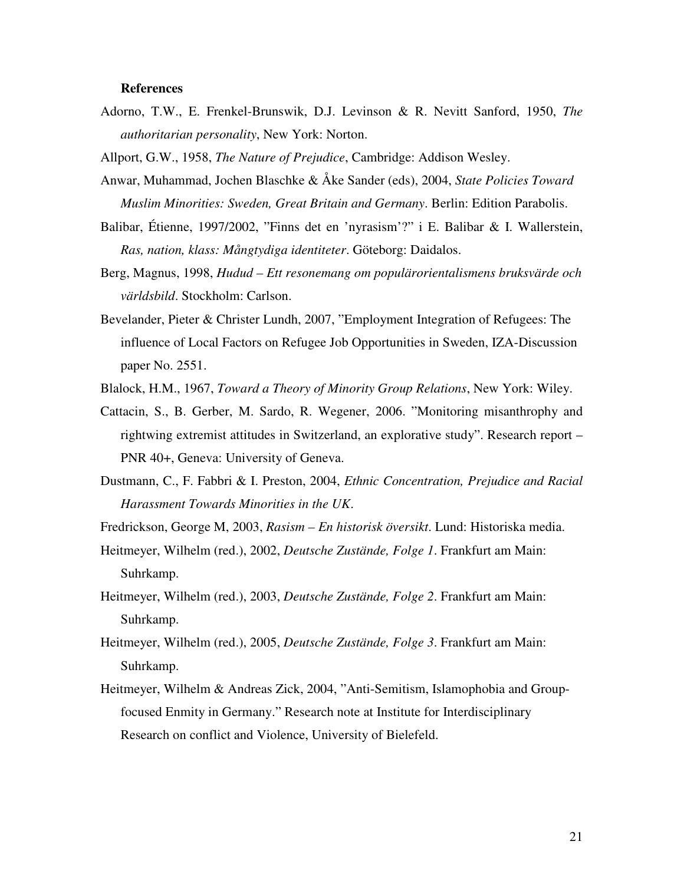#### **References**

Adorno, T.W., E. Frenkel-Brunswik, D.J. Levinson & R. Nevitt Sanford, 1950, *The authoritarian personality*, New York: Norton.

Allport, G.W., 1958, *The Nature of Prejudice*, Cambridge: Addison Wesley.

- Anwar, Muhammad, Jochen Blaschke & Åke Sander (eds), 2004, *State Policies Toward Muslim Minorities: Sweden, Great Britain and Germany*. Berlin: Edition Parabolis.
- Balibar, Étienne, 1997/2002, "Finns det en 'nyrasism'?" i E. Balibar & I. Wallerstein, *Ras, nation, klass: Mångtydiga identiteter*. Göteborg: Daidalos.
- Berg, Magnus, 1998, *Hudud Ett resonemang om populärorientalismens bruksvärde och världsbild*. Stockholm: Carlson.
- Bevelander, Pieter & Christer Lundh, 2007, "Employment Integration of Refugees: The influence of Local Factors on Refugee Job Opportunities in Sweden, IZA-Discussion paper No. 2551.
- Blalock, H.M., 1967, *Toward a Theory of Minority Group Relations*, New York: Wiley.
- Cattacin, S., B. Gerber, M. Sardo, R. Wegener, 2006. "Monitoring misanthrophy and rightwing extremist attitudes in Switzerland, an explorative study". Research report – PNR 40+, Geneva: University of Geneva.
- Dustmann, C., F. Fabbri & I. Preston, 2004, *Ethnic Concentration, Prejudice and Racial Harassment Towards Minorities in the UK*.
- Fredrickson, George M, 2003, *Rasism En historisk översikt*. Lund: Historiska media.
- Heitmeyer, Wilhelm (red.), 2002, *Deutsche Zustände, Folge 1*. Frankfurt am Main: Suhrkamp.
- Heitmeyer, Wilhelm (red.), 2003, *Deutsche Zustände, Folge 2*. Frankfurt am Main: Suhrkamp.
- Heitmeyer, Wilhelm (red.), 2005, *Deutsche Zustände, Folge 3*. Frankfurt am Main: Suhrkamp.
- Heitmeyer, Wilhelm & Andreas Zick, 2004, "Anti-Semitism, Islamophobia and Groupfocused Enmity in Germany." Research note at Institute for Interdisciplinary Research on conflict and Violence, University of Bielefeld.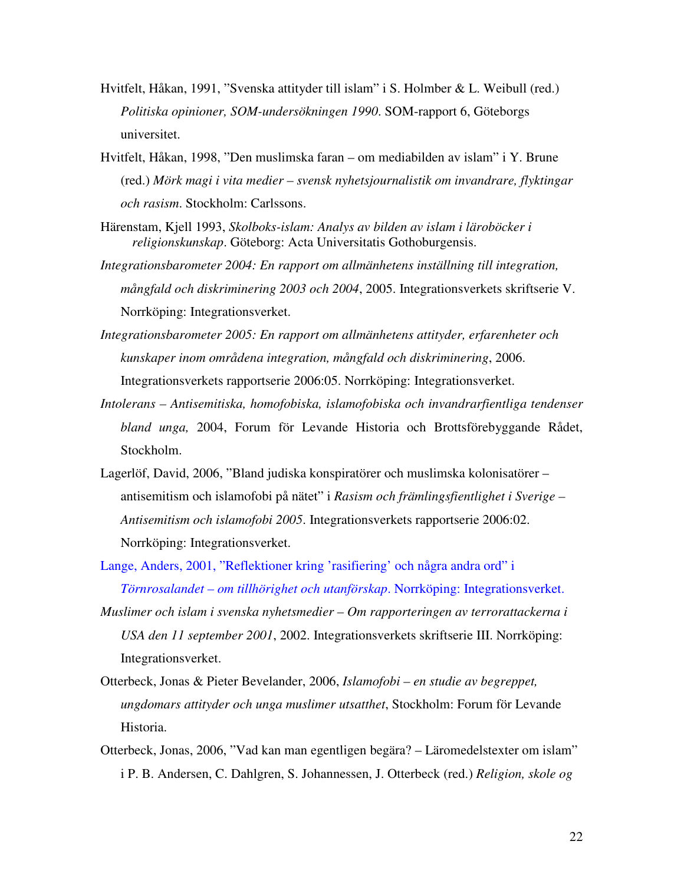- Hvitfelt, Håkan, 1991, "Svenska attityder till islam" i S. Holmber & L. Weibull (red.) *Politiska opinioner, SOM-undersökningen 1990*. SOM-rapport 6, Göteborgs universitet.
- Hvitfelt, Håkan, 1998, "Den muslimska faran om mediabilden av islam" i Y. Brune (red.) *Mörk magi i vita medier – svensk nyhetsjournalistik om invandrare, flyktingar och rasism*. Stockholm: Carlssons.
- Härenstam, Kjell 1993, *Skolboks-islam: Analys av bilden av islam i läroböcker i religionskunskap*. Göteborg: Acta Universitatis Gothoburgensis.
- *Integrationsbarometer 2004: En rapport om allmänhetens inställning till integration, mångfald och diskriminering 2003 och 2004*, 2005. Integrationsverkets skriftserie V. Norrköping: Integrationsverket.
- *Integrationsbarometer 2005: En rapport om allmänhetens attityder, erfarenheter och kunskaper inom områdena integration, mångfald och diskriminering*, 2006. Integrationsverkets rapportserie 2006:05. Norrköping: Integrationsverket.
- *Intolerans Antisemitiska, homofobiska, islamofobiska och invandrarfientliga tendenser bland unga,* 2004, Forum för Levande Historia och Brottsförebyggande Rådet, Stockholm.
- Lagerlöf, David, 2006, "Bland judiska konspiratörer och muslimska kolonisatörer antisemitism och islamofobi på nätet" i *Rasism och främlingsfientlighet i Sverige – Antisemitism och islamofobi 2005*. Integrationsverkets rapportserie 2006:02. Norrköping: Integrationsverket.
- Lange, Anders, 2001, "Reflektioner kring 'rasifiering' och några andra ord" i *Törnrosalandet – om tillhörighet och utanförskap*. Norrköping: Integrationsverket.
- *Muslimer och islam i svenska nyhetsmedier Om rapporteringen av terrorattackerna i USA den 11 september 2001*, 2002. Integrationsverkets skriftserie III. Norrköping: Integrationsverket.
- Otterbeck, Jonas & Pieter Bevelander, 2006, *Islamofobi en studie av begreppet, ungdomars attityder och unga muslimer utsatthet*, Stockholm: Forum för Levande Historia.
- Otterbeck, Jonas, 2006, "Vad kan man egentligen begära? Läromedelstexter om islam" i P. B. Andersen, C. Dahlgren, S. Johannessen, J. Otterbeck (red.) *Religion, skole og*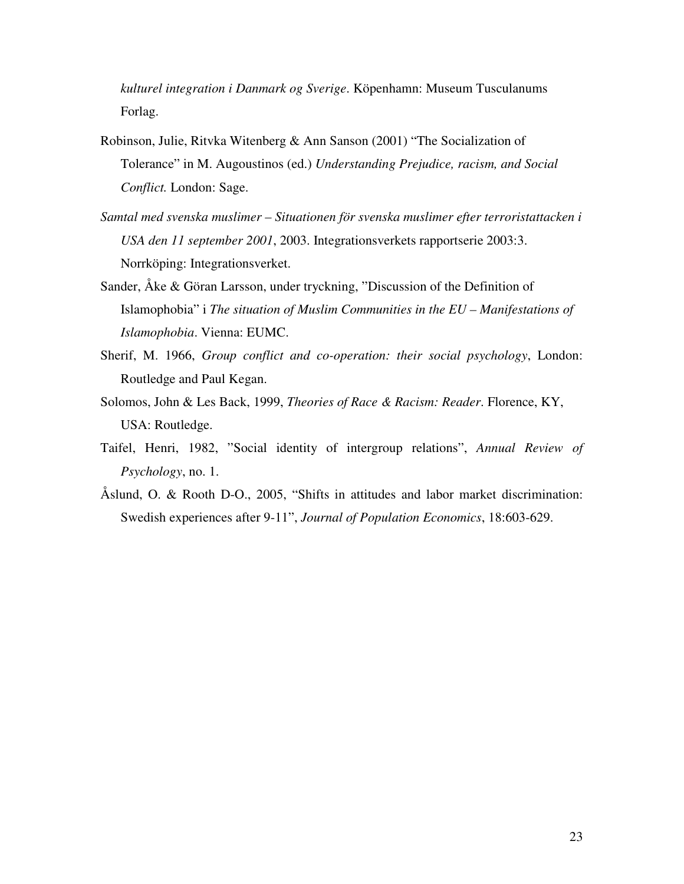*kulturel integration i Danmark og Sverige*. Köpenhamn: Museum Tusculanums Forlag.

- Robinson, Julie, Ritvka Witenberg & Ann Sanson (2001) "The Socialization of Tolerance" in M. Augoustinos (ed.) *Understanding Prejudice, racism, and Social Conflict.* London: Sage.
- *Samtal med svenska muslimer Situationen för svenska muslimer efter terroristattacken i USA den 11 september 2001*, 2003. Integrationsverkets rapportserie 2003:3. Norrköping: Integrationsverket.
- Sander, Åke & Göran Larsson, under tryckning, "Discussion of the Definition of Islamophobia" i *The situation of Muslim Communities in the EU – Manifestations of Islamophobia*. Vienna: EUMC.
- Sherif, M. 1966, *Group conflict and co-operation: their social psychology*, London: Routledge and Paul Kegan.
- Solomos, John & Les Back, 1999, *Theories of Race & Racism: Reader*. Florence, KY, USA: Routledge.
- Taifel, Henri, 1982, "Social identity of intergroup relations", *Annual Review of Psychology*, no. 1.
- Åslund, O. & Rooth D-O., 2005, "Shifts in attitudes and labor market discrimination: Swedish experiences after 9-11", *Journal of Population Economics*, 18:603-629.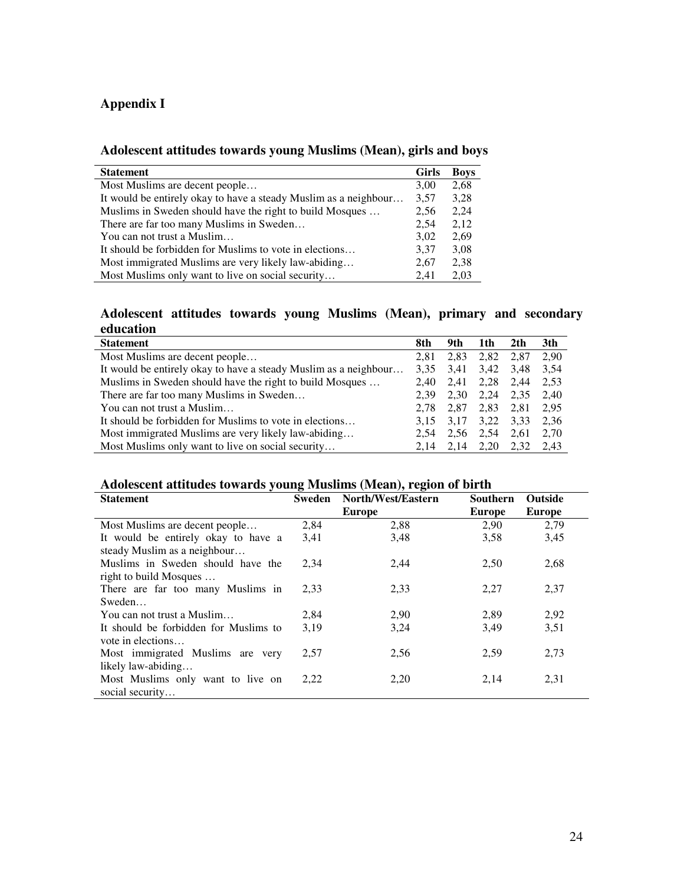## **Appendix I**

## **Adolescent attitudes towards young Muslims (Mean), girls and boys**

| <b>Statement</b>                                                 | <b>Girls</b> | <b>Boys</b> |
|------------------------------------------------------------------|--------------|-------------|
| Most Muslims are decent people                                   | 3,00         | 2,68        |
| It would be entirely okay to have a steady Muslim as a neighbour | 3,57         | 3,28        |
| Muslims in Sweden should have the right to build Mosques         | 2,56         | 2,24        |
| There are far too many Muslims in Sweden                         | 2,54         | 2.12        |
| You can not trust a Muslim                                       | 3,02         | 2,69        |
| It should be forbidden for Muslims to vote in elections          | 3.37         | 3,08        |
| Most immigrated Muslims are very likely law-abiding              | 2,67         | 2,38        |
| Most Muslims only want to live on social security                | 2.41         | 2,03        |

## **Adolescent attitudes towards young Muslims (Mean), primary and secondary education**

| <b>Statement</b>                                                 | 8th  | 9th  | 1th  | 2th  | 3th  |
|------------------------------------------------------------------|------|------|------|------|------|
| Most Muslims are decent people                                   | 2.81 | 2,83 | 2,82 | 2,87 | 2,90 |
| It would be entirely okay to have a steady Muslim as a neighbour | 3.35 | 3.41 | 3.42 | 3.48 | 3.54 |
| Muslims in Sweden should have the right to build Mosques         | 2.40 | 2.41 | 2.28 | 2.44 | 2.53 |
| There are far too many Muslims in Sweden                         | 2.39 | 2,30 | 2.24 | 2,35 | 2.40 |
| You can not trust a Muslim                                       | 2.78 | 2.87 | 2,83 | 2.81 | 2.95 |
| It should be forbidden for Muslims to vote in elections          | 3.15 | 3.17 | 3,22 | 3.33 | 2.36 |
| Most immigrated Muslims are very likely law-abiding              | 2.54 | 2,56 | 2,54 | 2,61 | 2.70 |
| Most Muslims only want to live on social security                | 2.14 | 2.14 | 2,20 | 2.32 | 2.43 |

#### **Adolescent attitudes towards young Muslims (Mean), region of birth**

| <b>Statement</b>                      | <b>Sweden</b> | North/West/Eastern | <b>Southern</b> | <b>Outside</b> |
|---------------------------------------|---------------|--------------------|-----------------|----------------|
|                                       |               | Europe             | Europe          | Europe         |
| Most Muslims are decent people        | 2,84          | 2,88               | 2,90            | 2,79           |
| It would be entirely okay to have a   | 3,41          | 3,48               | 3,58            | 3.45           |
| steady Muslim as a neighbour          |               |                    |                 |                |
| Muslims in Sweden should have the     | 2,34          | 2,44               | 2,50            | 2,68           |
| right to build Mosques                |               |                    |                 |                |
| There are far too many Muslims in     | 2,33          | 2,33               | 2,27            | 2,37           |
| Sweden                                |               |                    |                 |                |
| You can not trust a Muslim            | 2.84          | 2,90               | 2,89            | 2,92           |
| It should be forbidden for Muslims to | 3,19          | 3,24               | 3,49            | 3,51           |
| vote in elections                     |               |                    |                 |                |
| Most immigrated Muslims are very      | 2,57          | 2.56               | 2,59            | 2,73           |
| likely law-abiding                    |               |                    |                 |                |
| Most Muslims only want to live on     | 2,22          | 2,20               | 2,14            | 2,31           |
| social security                       |               |                    |                 |                |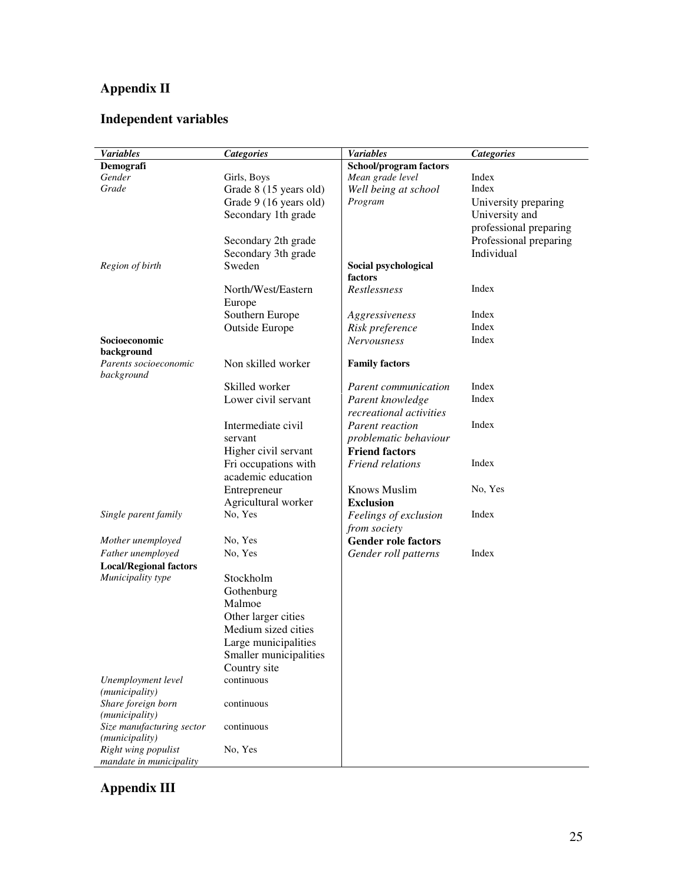# **Appendix II**

# **Independent variables**

| <b>Variables</b>                                   | <b>Categories</b>      | <b>Variables</b>                      | <b>Categories</b>      |
|----------------------------------------------------|------------------------|---------------------------------------|------------------------|
| Demografi                                          |                        | School/program factors                |                        |
| Gender                                             | Girls, Boys            | Mean grade level                      | Index                  |
| Grade                                              | Grade 8 (15 years old) | Well being at school                  | Index                  |
|                                                    | Grade 9 (16 years old) | Program                               | University preparing   |
|                                                    | Secondary 1th grade    |                                       | University and         |
|                                                    |                        |                                       | professional preparing |
|                                                    | Secondary 2th grade    |                                       | Professional preparing |
|                                                    | Secondary 3th grade    |                                       | Individual             |
| Region of birth                                    | Sweden                 | Social psychological                  |                        |
|                                                    |                        | factors                               |                        |
|                                                    | North/West/Eastern     | Restlessness                          | Index                  |
|                                                    | Europe                 |                                       |                        |
|                                                    | Southern Europe        | Aggressiveness                        | Index                  |
|                                                    | <b>Outside Europe</b>  | Risk preference                       | Index                  |
| Socioeconomic                                      |                        | <b>Nervousness</b>                    | Index                  |
| background                                         |                        |                                       |                        |
| Parents socioeconomic                              | Non skilled worker     | <b>Family factors</b>                 |                        |
| background                                         |                        |                                       |                        |
|                                                    | Skilled worker         | Parent communication                  | Index                  |
|                                                    | Lower civil servant    | Parent knowledge                      | Index                  |
|                                                    |                        | recreational activities               |                        |
|                                                    | Intermediate civil     | <b>Parent reaction</b>                | Index                  |
|                                                    | servant                | problematic behaviour                 |                        |
|                                                    | Higher civil servant   | <b>Friend factors</b>                 |                        |
|                                                    | Fri occupations with   | Friend relations                      | Index                  |
|                                                    | academic education     |                                       |                        |
|                                                    | Entrepreneur           | <b>Knows Muslim</b>                   | No, Yes                |
|                                                    | Agricultural worker    | <b>Exclusion</b>                      |                        |
| Single parent family                               | No, Yes                |                                       | Index                  |
|                                                    |                        | Feelings of exclusion<br>from society |                        |
|                                                    | No, Yes                |                                       |                        |
| Mother unemployed                                  |                        | <b>Gender role factors</b>            | Index                  |
| Father unemployed                                  | No, Yes                | Gender roll patterns                  |                        |
| <b>Local/Regional factors</b><br>Municipality type |                        |                                       |                        |
|                                                    | Stockholm              |                                       |                        |
|                                                    | Gothenburg             |                                       |                        |
|                                                    | Malmoe                 |                                       |                        |
|                                                    | Other larger cities    |                                       |                        |
|                                                    | Medium sized cities    |                                       |                        |
|                                                    | Large municipalities   |                                       |                        |
|                                                    | Smaller municipalities |                                       |                        |
|                                                    | Country site           |                                       |                        |
| Unemployment level                                 | continuous             |                                       |                        |
| (municipality)                                     |                        |                                       |                        |
| Share foreign born                                 | continuous             |                                       |                        |
| (municipality)                                     |                        |                                       |                        |
| Size manufacturing sector<br>(municipality)        | continuous             |                                       |                        |
| Right wing populist<br>mandate in municipality     | No, Yes                |                                       |                        |

**Appendix III**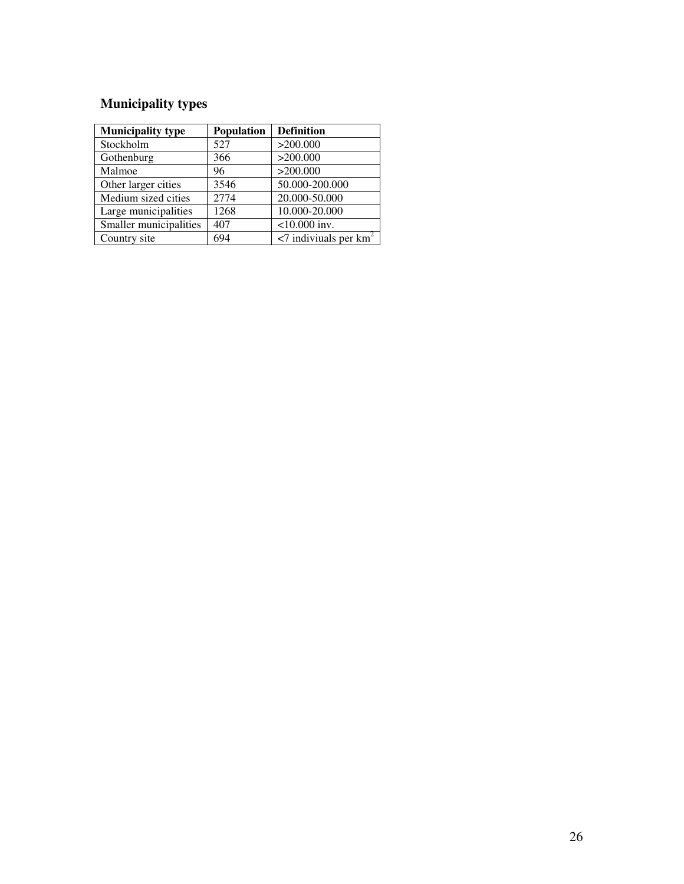# **Municipality types**

| <b>Municipality type</b> | <b>Population</b> | <b>Definition</b>                       |
|--------------------------|-------------------|-----------------------------------------|
| Stockholm                | 527               | >200.000                                |
| Gothenburg               | 366               | >200.000                                |
| Malmoe                   | 96                | >200.000                                |
| Other larger cities      | 3546              | 50.000-200.000                          |
| Medium sized cities      | 2774              | 20.000-50.000                           |
| Large municipalities     | 1268              | 10.000-20.000                           |
| Smaller municipalities   | 407               | $<$ 10.000 inv.                         |
| Country site             | 694               | $\leq$ 7 indiviuals per km <sup>2</sup> |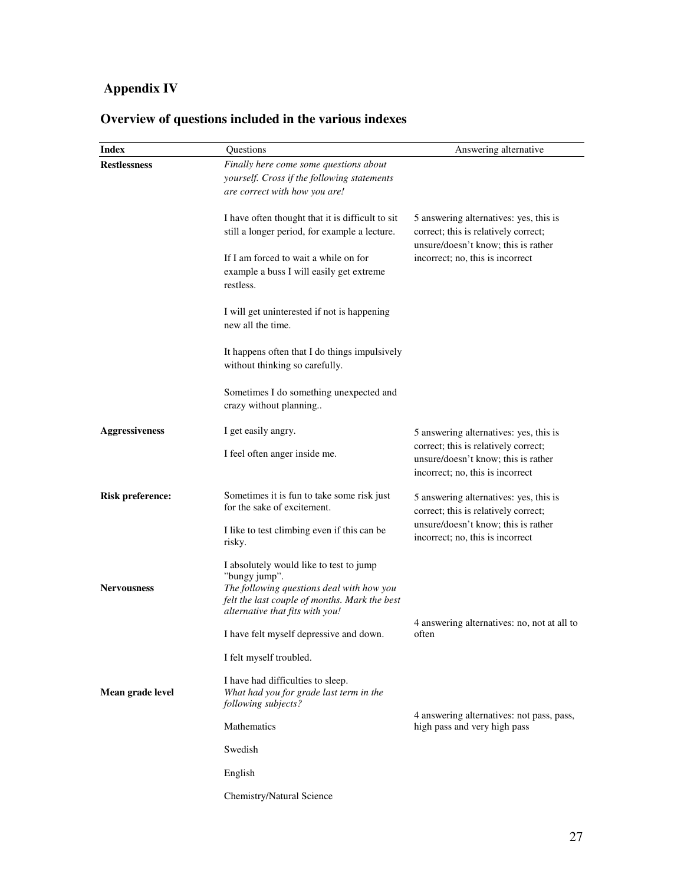# **Appendix IV**

| <b>Index</b>            | Questions                                                                                                                                                                                 | Answering alternative                                                                                                 |
|-------------------------|-------------------------------------------------------------------------------------------------------------------------------------------------------------------------------------------|-----------------------------------------------------------------------------------------------------------------------|
| <b>Restlessness</b>     | Finally here come some questions about<br>yourself. Cross if the following statements<br>are correct with how you are!                                                                    |                                                                                                                       |
|                         | I have often thought that it is difficult to sit<br>still a longer period, for example a lecture.                                                                                         | 5 answering alternatives: yes, this is<br>correct; this is relatively correct;<br>unsure/doesn't know; this is rather |
|                         | If I am forced to wait a while on for<br>example a buss I will easily get extreme<br>restless.                                                                                            | incorrect; no, this is incorrect                                                                                      |
|                         | I will get uninterested if not is happening<br>new all the time.                                                                                                                          |                                                                                                                       |
|                         | It happens often that I do things impulsively<br>without thinking so carefully.                                                                                                           |                                                                                                                       |
|                         | Sometimes I do something unexpected and<br>crazy without planning                                                                                                                         |                                                                                                                       |
| <b>Aggressiveness</b>   | I get easily angry.                                                                                                                                                                       | 5 answering alternatives: yes, this is                                                                                |
|                         | I feel often anger inside me.                                                                                                                                                             | correct; this is relatively correct;<br>unsure/doesn't know; this is rather<br>incorrect; no, this is incorrect       |
| <b>Risk preference:</b> | Sometimes it is fun to take some risk just<br>for the sake of excitement.                                                                                                                 | 5 answering alternatives: yes, this is<br>correct; this is relatively correct;                                        |
|                         | I like to test climbing even if this can be<br>risky.                                                                                                                                     | unsure/doesn't know; this is rather<br>incorrect; no, this is incorrect                                               |
| <b>Nervousness</b>      | I absolutely would like to test to jump<br>"bungy jump".<br>The following questions deal with how you<br>felt the last couple of months. Mark the best<br>alternative that fits with you! |                                                                                                                       |
|                         | I have felt myself depressive and down.                                                                                                                                                   | 4 answering alternatives: no, not at all to<br>often                                                                  |
|                         | I felt myself troubled.                                                                                                                                                                   |                                                                                                                       |
| Mean grade level        | I have had difficulties to sleep.<br>What had you for grade last term in the<br>following subjects?                                                                                       |                                                                                                                       |
|                         | Mathematics                                                                                                                                                                               | 4 answering alternatives: not pass, pass,<br>high pass and very high pass                                             |
|                         | Swedish                                                                                                                                                                                   |                                                                                                                       |
|                         | English                                                                                                                                                                                   |                                                                                                                       |
|                         | Chemistry/Natural Science                                                                                                                                                                 |                                                                                                                       |

# **Overview of questions included in the various indexes**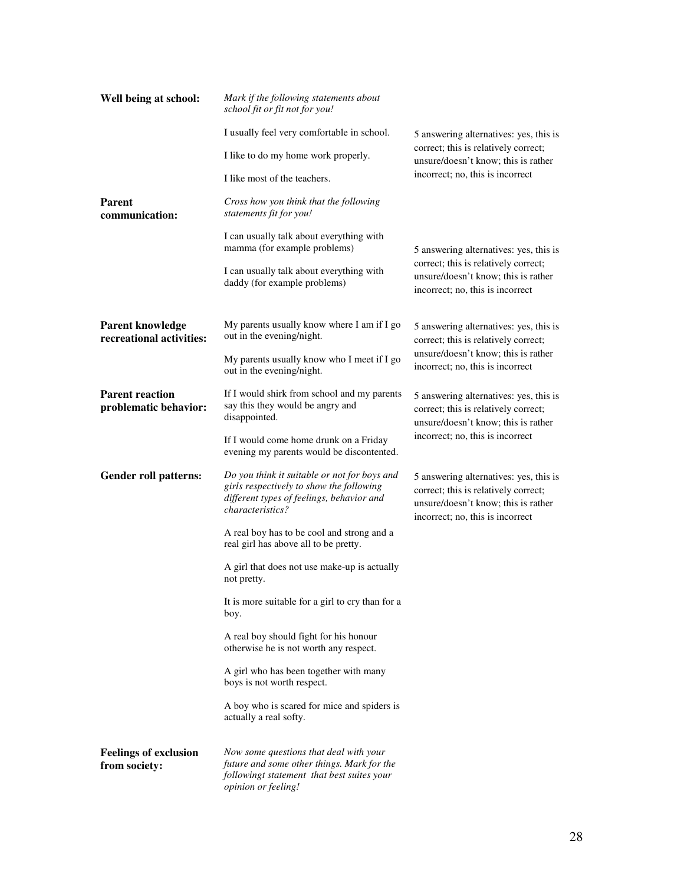| Well being at school:                               | Mark if the following statements about<br>school fit or fit not for you!                                                                                         |                                                                                                                                                           |
|-----------------------------------------------------|------------------------------------------------------------------------------------------------------------------------------------------------------------------|-----------------------------------------------------------------------------------------------------------------------------------------------------------|
|                                                     | I usually feel very comfortable in school.                                                                                                                       | 5 answering alternatives: yes, this is                                                                                                                    |
|                                                     | I like to do my home work properly.                                                                                                                              | correct; this is relatively correct;<br>unsure/doesn't know; this is rather                                                                               |
|                                                     | I like most of the teachers.                                                                                                                                     | incorrect; no, this is incorrect                                                                                                                          |
| <b>Parent</b><br>communication:                     | Cross how you think that the following<br>statements fit for you!                                                                                                |                                                                                                                                                           |
|                                                     | I can usually talk about everything with<br>mamma (for example problems)                                                                                         | 5 answering alternatives: yes, this is                                                                                                                    |
|                                                     | I can usually talk about everything with<br>daddy (for example problems)                                                                                         | correct; this is relatively correct;<br>unsure/doesn't know; this is rather<br>incorrect; no, this is incorrect                                           |
| <b>Parent knowledge</b><br>recreational activities: | My parents usually know where I am if I go<br>out in the evening/night.                                                                                          | 5 answering alternatives: yes, this is<br>correct; this is relatively correct;                                                                            |
|                                                     | My parents usually know who I meet if I go<br>out in the evening/night.                                                                                          | unsure/doesn't know; this is rather<br>incorrect; no, this is incorrect                                                                                   |
| <b>Parent reaction</b><br>problematic behavior:     | If I would shirk from school and my parents<br>say this they would be angry and<br>disappointed.                                                                 | 5 answering alternatives: yes, this is<br>correct; this is relatively correct;<br>unsure/doesn't know; this is rather                                     |
|                                                     | If I would come home drunk on a Friday<br>evening my parents would be discontented.                                                                              | incorrect; no, this is incorrect                                                                                                                          |
| <b>Gender roll patterns:</b>                        | Do you think it suitable or not for boys and<br>girls respectively to show the following<br>different types of feelings, behavior and<br><i>characteristics?</i> | 5 answering alternatives: yes, this is<br>correct; this is relatively correct;<br>unsure/doesn't know; this is rather<br>incorrect; no, this is incorrect |
|                                                     | A real boy has to be cool and strong and a<br>real girl has above all to be pretty.                                                                              |                                                                                                                                                           |
|                                                     | A girl that does not use make-up is actually<br>not pretty.                                                                                                      |                                                                                                                                                           |
|                                                     | It is more suitable for a girl to cry than for a<br>boy.                                                                                                         |                                                                                                                                                           |
|                                                     | A real boy should fight for his honour<br>otherwise he is not worth any respect.                                                                                 |                                                                                                                                                           |
|                                                     | A girl who has been together with many<br>boys is not worth respect.                                                                                             |                                                                                                                                                           |
|                                                     | A boy who is scared for mice and spiders is<br>actually a real softy.                                                                                            |                                                                                                                                                           |
| <b>Feelings of exclusion</b><br>from society:       | Now some questions that deal with your<br>future and some other things. Mark for the<br>followingt statement that best suites your<br>opinion or feeling!        |                                                                                                                                                           |